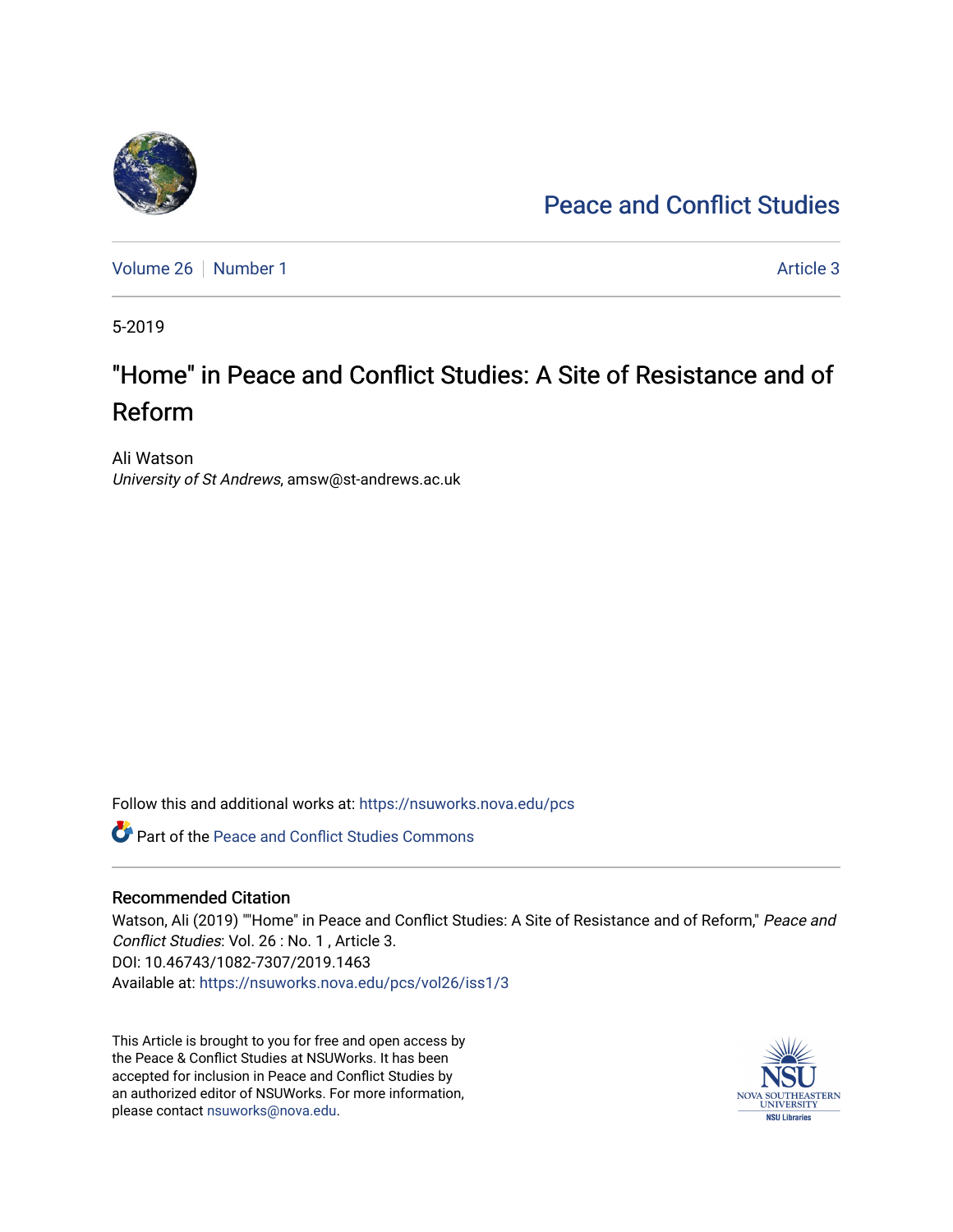## [Peace and Conflict Studies](https://nsuworks.nova.edu/pcs)

[Volume 26](https://nsuworks.nova.edu/pcs/vol26) [Number 1](https://nsuworks.nova.edu/pcs/vol26/iss1) Article 3

5-2019

# "Home" in Peace and Conflict Studies: A Site of Resistance and of Reform

Ali Watson University of St Andrews, amsw@st-andrews.ac.uk

Follow this and additional works at: [https://nsuworks.nova.edu/pcs](https://nsuworks.nova.edu/pcs?utm_source=nsuworks.nova.edu%2Fpcs%2Fvol26%2Fiss1%2F3&utm_medium=PDF&utm_campaign=PDFCoverPages)

Part of the [Peace and Conflict Studies Commons](http://network.bepress.com/hgg/discipline/397?utm_source=nsuworks.nova.edu%2Fpcs%2Fvol26%2Fiss1%2F3&utm_medium=PDF&utm_campaign=PDFCoverPages) 

#### Recommended Citation

Watson, Ali (2019) ""Home" in Peace and Conflict Studies: A Site of Resistance and of Reform," Peace and Conflict Studies: Vol. 26 : No. 1 , Article 3. DOI: 10.46743/1082-7307/2019.1463 Available at: [https://nsuworks.nova.edu/pcs/vol26/iss1/3](https://nsuworks.nova.edu/pcs/vol26/iss1/3?utm_source=nsuworks.nova.edu%2Fpcs%2Fvol26%2Fiss1%2F3&utm_medium=PDF&utm_campaign=PDFCoverPages)

This Article is brought to you for free and open access by the Peace & Conflict Studies at NSUWorks. It has been accepted for inclusion in Peace and Conflict Studies by an authorized editor of NSUWorks. For more information, please contact [nsuworks@nova.edu](mailto:nsuworks@nova.edu).

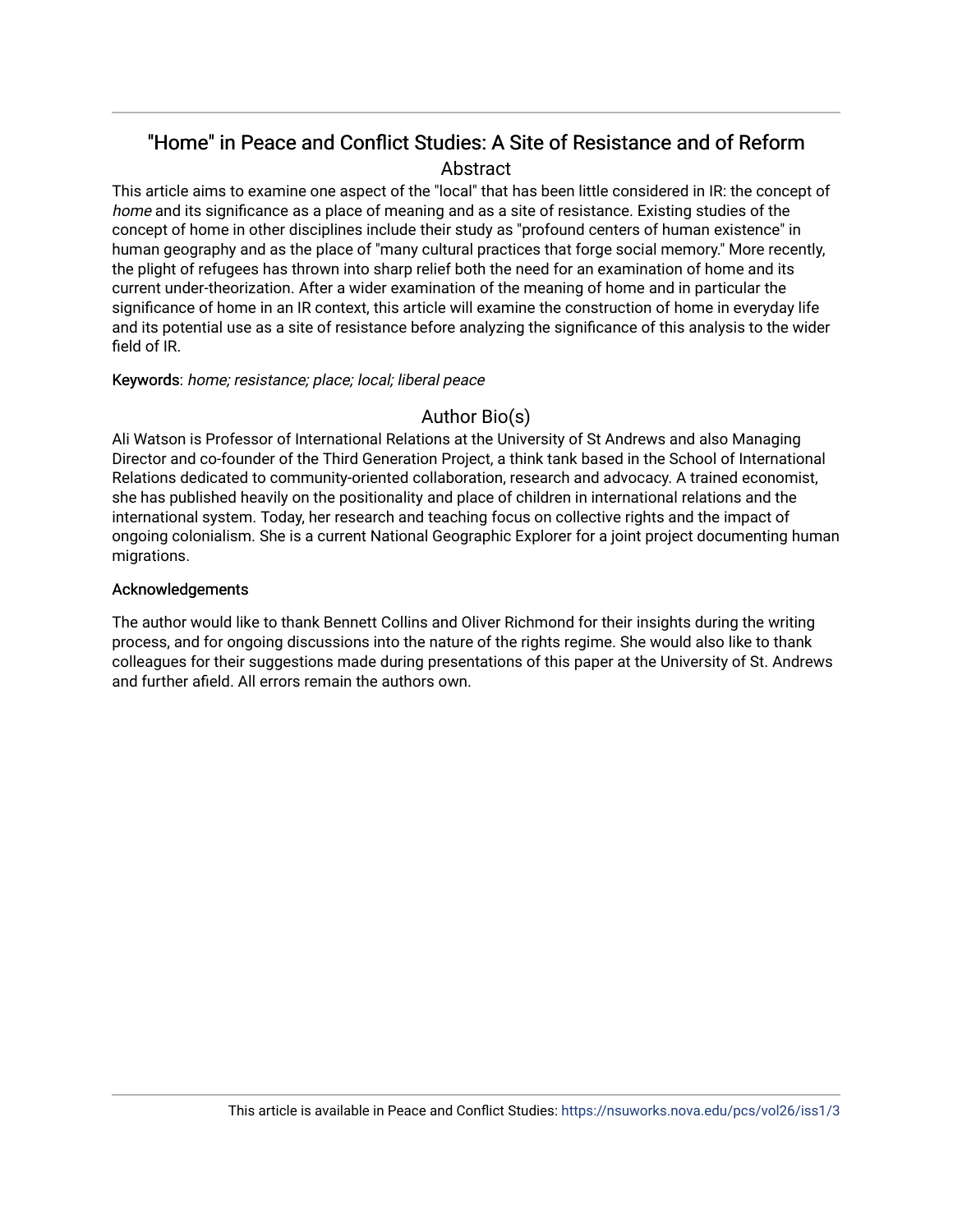## "Home" in Peace and Conflict Studies: A Site of Resistance and of Reform Abstract

This article aims to examine one aspect of the "local" that has been little considered in IR: the concept of home and its significance as a place of meaning and as a site of resistance. Existing studies of the concept of home in other disciplines include their study as "profound centers of human existence" in human geography and as the place of "many cultural practices that forge social memory." More recently, the plight of refugees has thrown into sharp relief both the need for an examination of home and its current under-theorization. After a wider examination of the meaning of home and in particular the significance of home in an IR context, this article will examine the construction of home in everyday life and its potential use as a site of resistance before analyzing the significance of this analysis to the wider field of IR.

#### Keywords: home; resistance; place; local; liberal peace

### Author Bio(s)

Ali Watson is Professor of International Relations at the University of St Andrews and also Managing Director and co-founder of the Third Generation Project, a think tank based in the School of International Relations dedicated to community-oriented collaboration, research and advocacy. A trained economist, she has published heavily on the positionality and place of children in international relations and the international system. Today, her research and teaching focus on collective rights and the impact of ongoing colonialism. She is a current National Geographic Explorer for a joint project documenting human migrations.

#### Acknowledgements

The author would like to thank Bennett Collins and Oliver Richmond for their insights during the writing process, and for ongoing discussions into the nature of the rights regime. She would also like to thank colleagues for their suggestions made during presentations of this paper at the University of St. Andrews and further afield. All errors remain the authors own.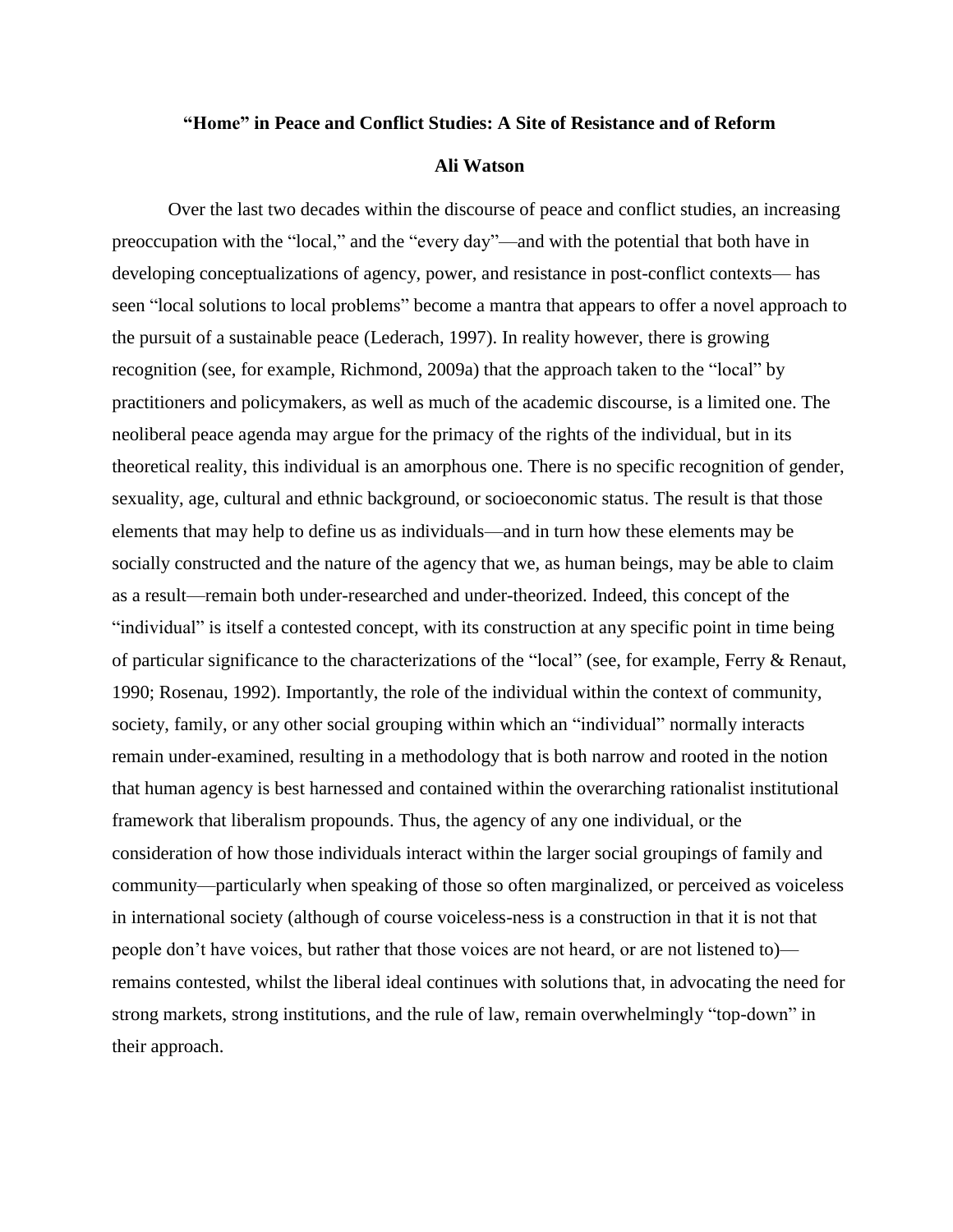#### **"Home" in Peace and Conflict Studies: A Site of Resistance and of Reform**

#### **Ali Watson**

Over the last two decades within the discourse of peace and conflict studies, an increasing preoccupation with the "local," and the "every day"—and with the potential that both have in developing conceptualizations of agency, power, and resistance in post-conflict contexts— has seen "local solutions to local problems" become a mantra that appears to offer a novel approach to the pursuit of a sustainable peace (Lederach, 1997). In reality however, there is growing recognition (see, for example, Richmond, 2009a) that the approach taken to the "local" by practitioners and policymakers, as well as much of the academic discourse, is a limited one. The neoliberal peace agenda may argue for the primacy of the rights of the individual, but in its theoretical reality, this individual is an amorphous one. There is no specific recognition of gender, sexuality, age, cultural and ethnic background, or socioeconomic status. The result is that those elements that may help to define us as individuals—and in turn how these elements may be socially constructed and the nature of the agency that we, as human beings, may be able to claim as a result—remain both under-researched and under-theorized. Indeed, this concept of the "individual" is itself a contested concept, with its construction at any specific point in time being of particular significance to the characterizations of the "local" (see, for example, Ferry & Renaut, 1990; Rosenau, 1992). Importantly, the role of the individual within the context of community, society, family, or any other social grouping within which an "individual" normally interacts remain under-examined, resulting in a methodology that is both narrow and rooted in the notion that human agency is best harnessed and contained within the overarching rationalist institutional framework that liberalism propounds. Thus, the agency of any one individual, or the consideration of how those individuals interact within the larger social groupings of family and community—particularly when speaking of those so often marginalized, or perceived as voiceless in international society (although of course voiceless-ness is a construction in that it is not that people don't have voices, but rather that those voices are not heard, or are not listened to) remains contested, whilst the liberal ideal continues with solutions that, in advocating the need for strong markets, strong institutions, and the rule of law, remain overwhelmingly "top-down" in their approach.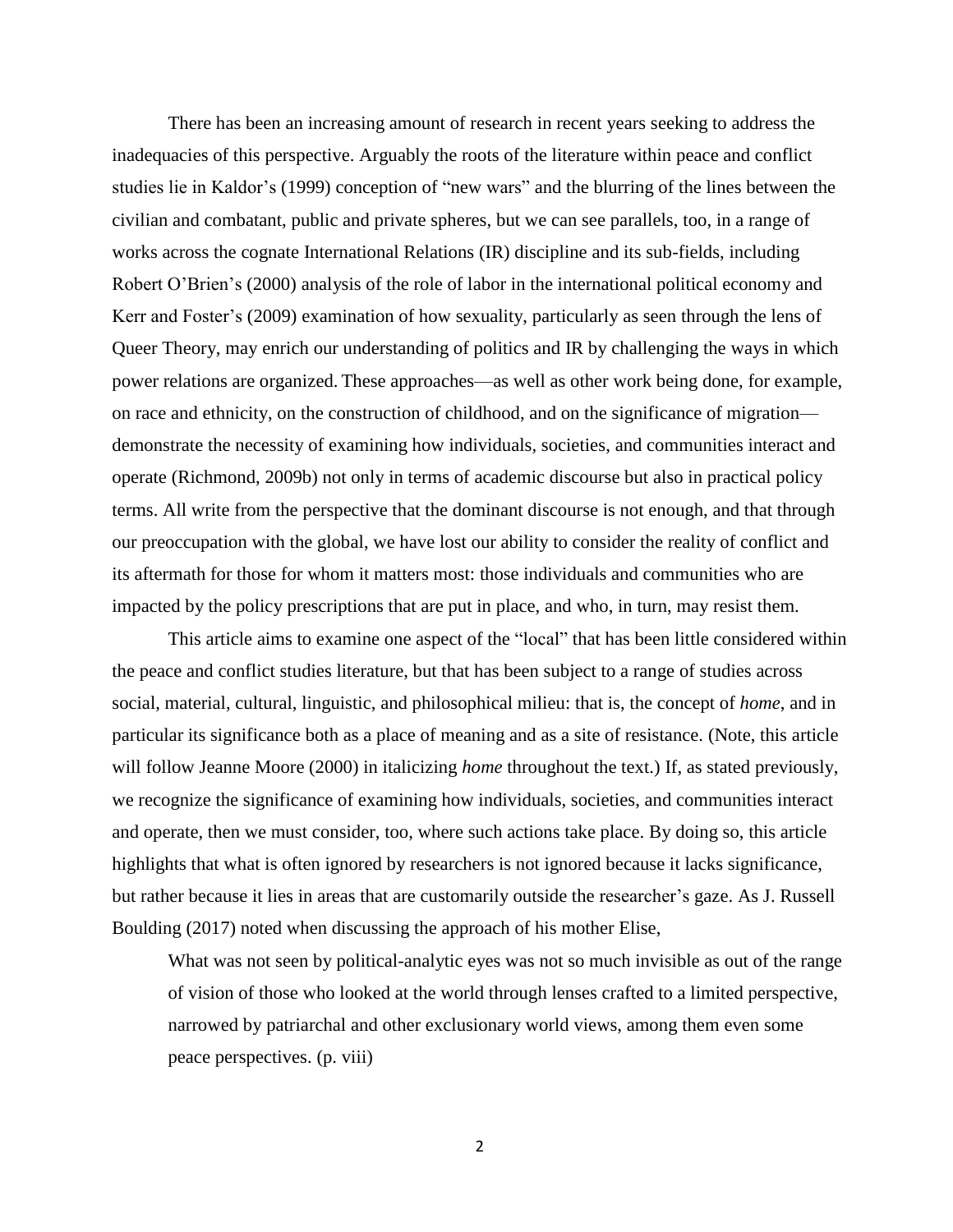There has been an increasing amount of research in recent years seeking to address the inadequacies of this perspective. Arguably the roots of the literature within peace and conflict studies lie in Kaldor's (1999) conception of "new wars" and the blurring of the lines between the civilian and combatant, public and private spheres, but we can see parallels, too, in a range of works across the cognate International Relations (IR) discipline and its sub-fields, including Robert O'Brien's (2000) analysis of the role of labor in the international political economy and Kerr and Foster's (2009) examination of how sexuality, particularly as seen through the lens of Queer Theory, may enrich our understanding of politics and IR by challenging the ways in which power relations are organized. These approaches—as well as other work being done, for example, on race and ethnicity, on the construction of childhood, and on the significance of migration demonstrate the necessity of examining how individuals, societies, and communities interact and operate (Richmond, 2009b) not only in terms of academic discourse but also in practical policy terms. All write from the perspective that the dominant discourse is not enough, and that through our preoccupation with the global, we have lost our ability to consider the reality of conflict and its aftermath for those for whom it matters most: those individuals and communities who are impacted by the policy prescriptions that are put in place, and who, in turn, may resist them.

This article aims to examine one aspect of the "local" that has been little considered within the peace and conflict studies literature, but that has been subject to a range of studies across social, material, cultural, linguistic, and philosophical milieu: that is, the concept of *home*, and in particular its significance both as a place of meaning and as a site of resistance. (Note, this article will follow Jeanne Moore (2000) in italicizing *home* throughout the text.) If, as stated previously, we recognize the significance of examining how individuals, societies, and communities interact and operate, then we must consider, too, where such actions take place. By doing so, this article highlights that what is often ignored by researchers is not ignored because it lacks significance, but rather because it lies in areas that are customarily outside the researcher's gaze. As J. Russell Boulding (2017) noted when discussing the approach of his mother Elise,

What was not seen by political-analytic eyes was not so much invisible as out of the range of vision of those who looked at the world through lenses crafted to a limited perspective, narrowed by patriarchal and other exclusionary world views, among them even some peace perspectives. (p. viii)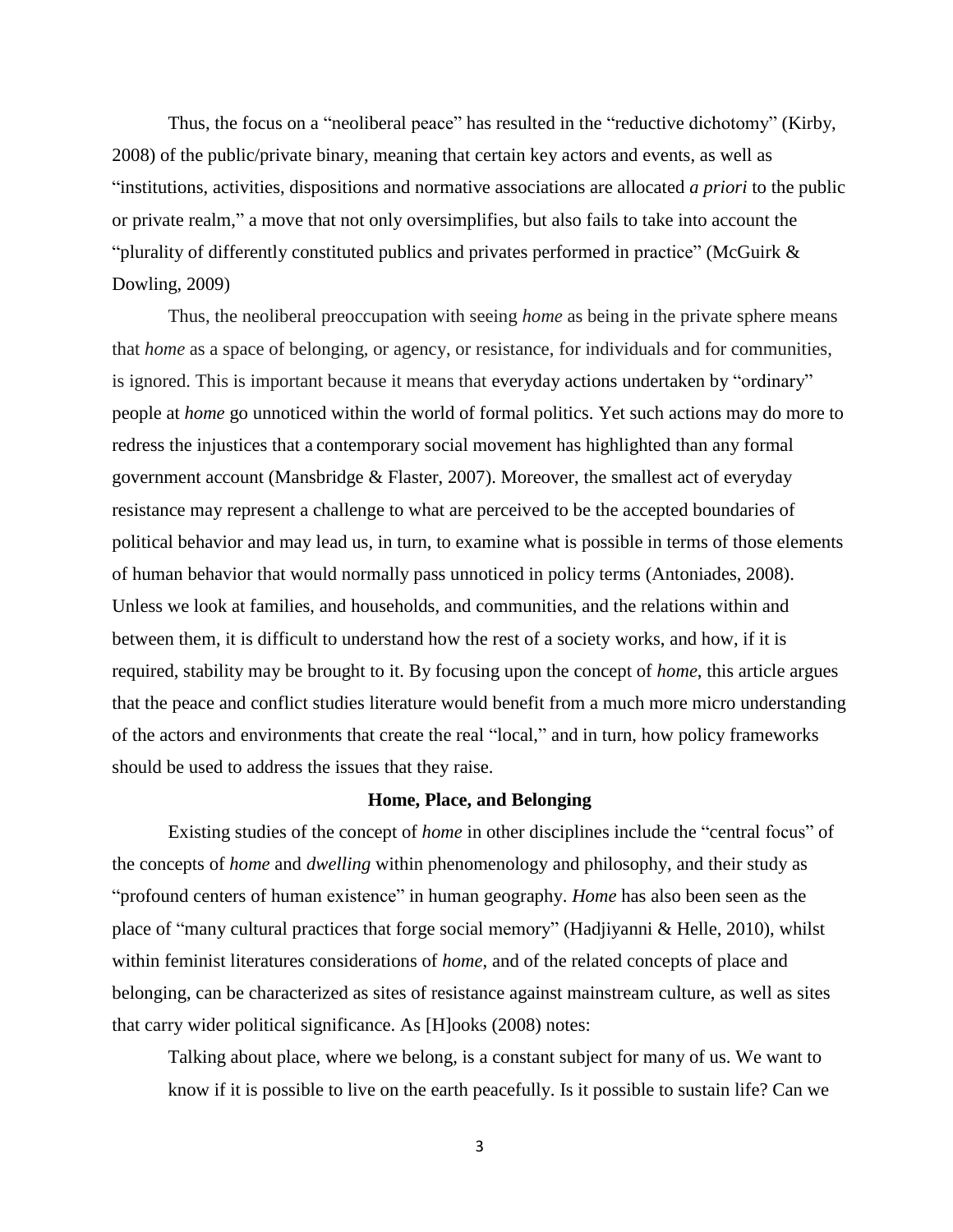Thus, the focus on a "neoliberal peace" has resulted in the "reductive dichotomy" (Kirby, 2008) of the public/private binary, meaning that certain key actors and events, as well as "institutions, activities, dispositions and normative associations are allocated *a priori* to the public or private realm," a move that not only oversimplifies, but also fails to take into account the "plurality of differently constituted publics and privates performed in practice" (McGuirk & Dowling, 2009)

Thus, the neoliberal preoccupation with seeing *home* as being in the private sphere means that *home* as a space of belonging, or agency, or resistance, for individuals and for communities, is ignored. This is important because it means that everyday actions undertaken by "ordinary" people at *home* go unnoticed within the world of formal politics. Yet such actions may do more to redress the injustices that a contemporary social movement has highlighted than any formal government account (Mansbridge & Flaster, 2007). Moreover, the smallest act of everyday resistance may represent a challenge to what are perceived to be the accepted boundaries of political behavior and may lead us, in turn, to examine what is possible in terms of those elements of human behavior that would normally pass unnoticed in policy terms (Antoniades, 2008). Unless we look at families, and households, and communities, and the relations within and between them, it is difficult to understand how the rest of a society works, and how, if it is required, stability may be brought to it. By focusing upon the concept of *home*, this article argues that the peace and conflict studies literature would benefit from a much more micro understanding of the actors and environments that create the real "local," and in turn, how policy frameworks should be used to address the issues that they raise.

#### **Home, Place, and Belonging**

Existing studies of the concept of *home* in other disciplines include the "central focus" of the concepts of *home* and *dwelling* within phenomenology and philosophy, and their study as "profound centers of human existence" in human geography. *Home* has also been seen as the place of "many cultural practices that forge social memory" (Hadjiyanni & Helle, 2010), whilst within feminist literatures considerations of *home*, and of the related concepts of place and belonging, can be characterized as sites of resistance against mainstream culture, as well as sites that carry wider political significance. As [H]ooks (2008) notes:

Talking about place, where we belong, is a constant subject for many of us. We want to know if it is possible to live on the earth peacefully. Is it possible to sustain life? Can we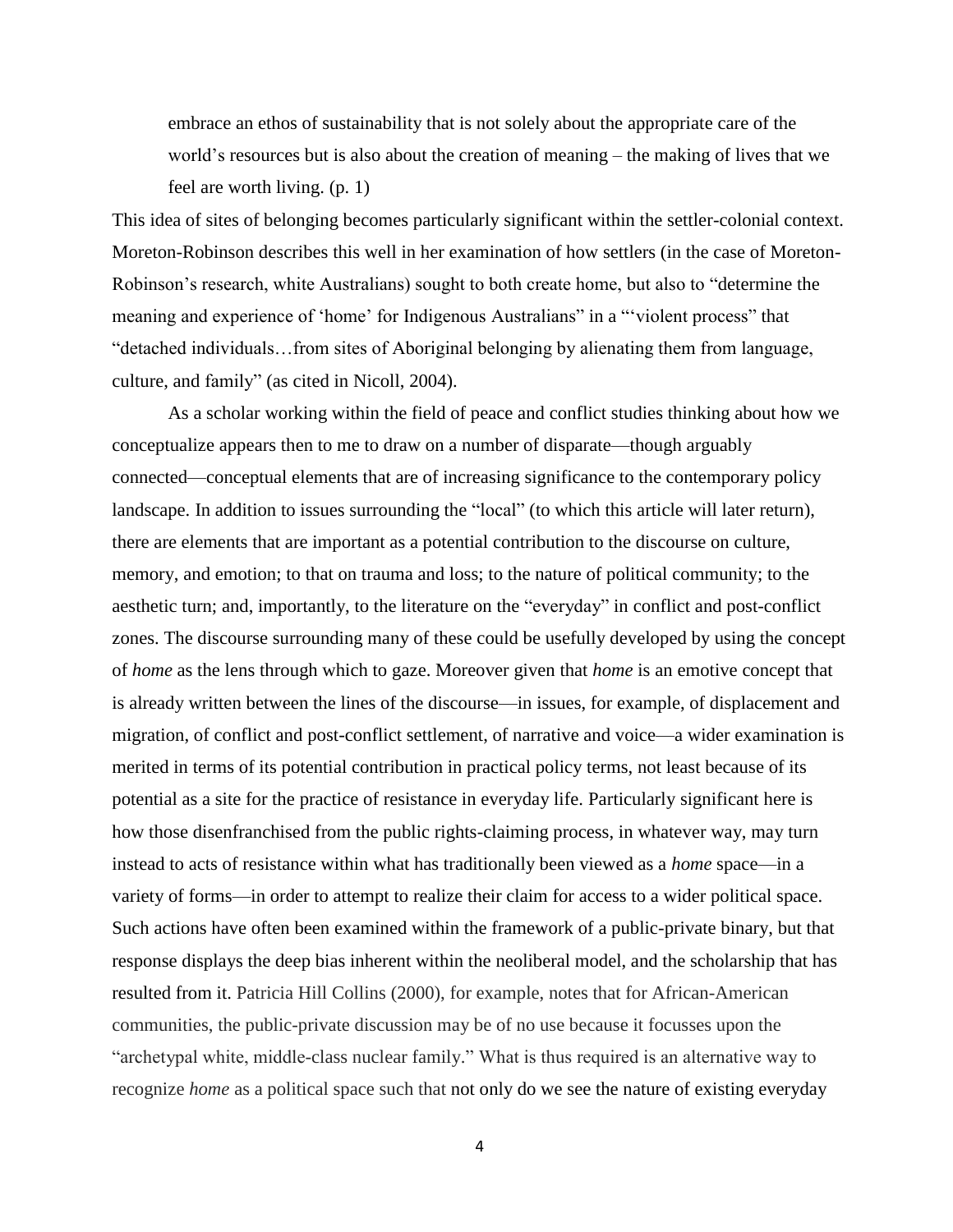embrace an ethos of sustainability that is not solely about the appropriate care of the world's resources but is also about the creation of meaning – the making of lives that we feel are worth living. (p. 1)

This idea of sites of belonging becomes particularly significant within the settler-colonial context. Moreton-Robinson describes this well in her examination of how settlers (in the case of Moreton-Robinson's research, white Australians) sought to both create home, but also to "determine the meaning and experience of 'home' for Indigenous Australians" in a "'violent process" that "detached individuals…from sites of Aboriginal belonging by alienating them from language, culture, and family" (as cited in Nicoll, 2004).

As a scholar working within the field of peace and conflict studies thinking about how we conceptualize appears then to me to draw on a number of disparate—though arguably connected—conceptual elements that are of increasing significance to the contemporary policy landscape. In addition to issues surrounding the "local" (to which this article will later return), there are elements that are important as a potential contribution to the discourse on culture, memory, and emotion; to that on trauma and loss; to the nature of political community; to the aesthetic turn; and, importantly, to the literature on the "everyday" in conflict and post-conflict zones. The discourse surrounding many of these could be usefully developed by using the concept of *home* as the lens through which to gaze. Moreover given that *home* is an emotive concept that is already written between the lines of the discourse—in issues, for example, of displacement and migration, of conflict and post-conflict settlement, of narrative and voice—a wider examination is merited in terms of its potential contribution in practical policy terms, not least because of its potential as a site for the practice of resistance in everyday life. Particularly significant here is how those disenfranchised from the public rights-claiming process, in whatever way, may turn instead to acts of resistance within what has traditionally been viewed as a *home* space—in a variety of forms—in order to attempt to realize their claim for access to a wider political space. Such actions have often been examined within the framework of a public-private binary, but that response displays the deep bias inherent within the neoliberal model, and the scholarship that has resulted from it. Patricia Hill Collins (2000), for example, notes that for African-American communities, the public-private discussion may be of no use because it focusses upon the "archetypal white, middle-class nuclear family." What is thus required is an alternative way to recognize *home* as a political space such that not only do we see the nature of existing everyday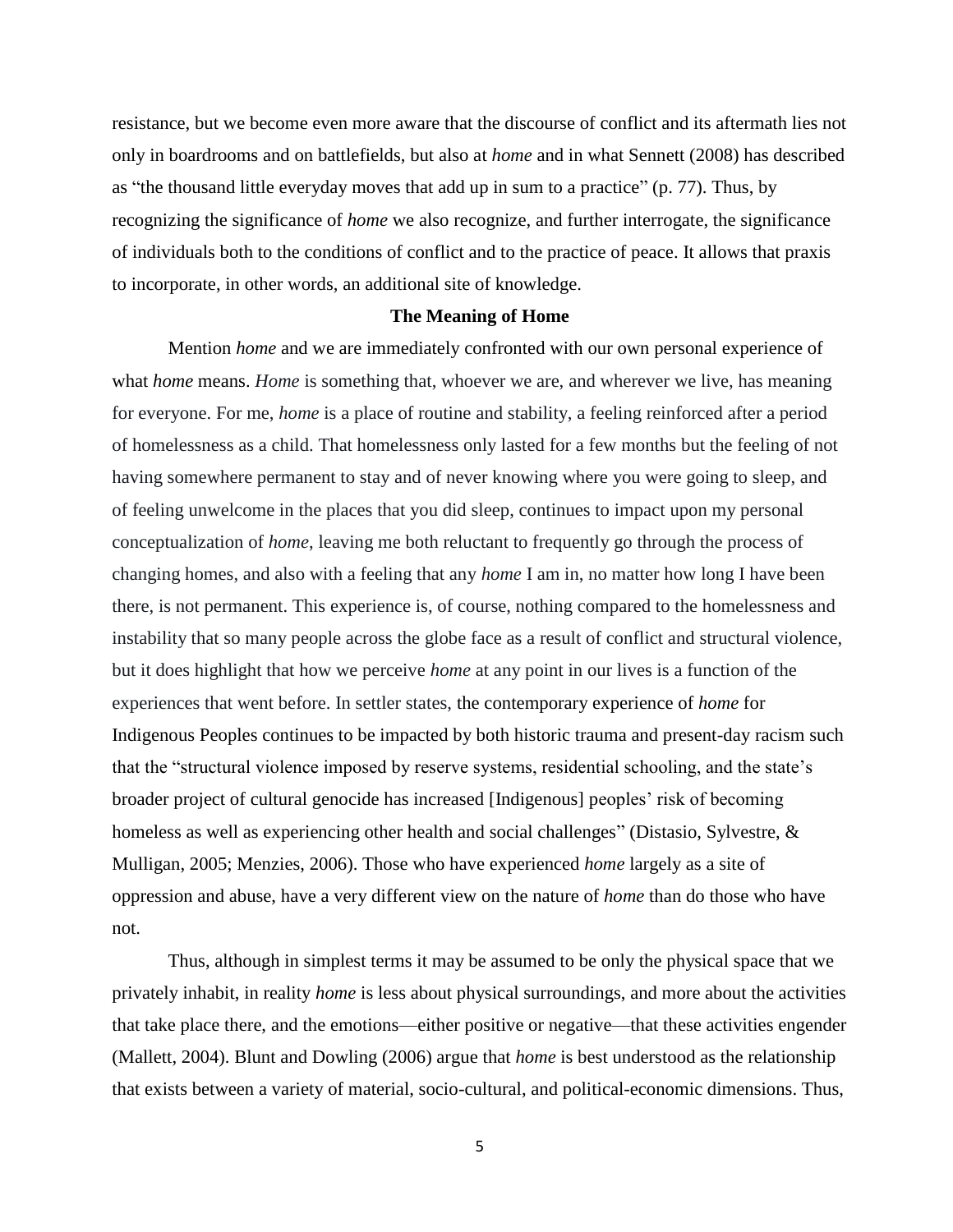resistance, but we become even more aware that the discourse of conflict and its aftermath lies not only in boardrooms and on battlefields, but also at *home* and in what Sennett (2008) has described as "the thousand little everyday moves that add up in sum to a practice" (p. 77). Thus, by recognizing the significance of *home* we also recognize, and further interrogate, the significance of individuals both to the conditions of conflict and to the practice of peace. It allows that praxis to incorporate, in other words, an additional site of knowledge.

#### **The Meaning of Home**

Mention *home* and we are immediately confronted with our own personal experience of what *home* means. *Home* is something that, whoever we are, and wherever we live, has meaning for everyone. For me, *home* is a place of routine and stability, a feeling reinforced after a period of homelessness as a child. That homelessness only lasted for a few months but the feeling of not having somewhere permanent to stay and of never knowing where you were going to sleep, and of feeling unwelcome in the places that you did sleep, continues to impact upon my personal conceptualization of *home*, leaving me both reluctant to frequently go through the process of changing homes, and also with a feeling that any *home* I am in, no matter how long I have been there, is not permanent. This experience is, of course, nothing compared to the homelessness and instability that so many people across the globe face as a result of conflict and structural violence, but it does highlight that how we perceive *home* at any point in our lives is a function of the experiences that went before. In settler states, the contemporary experience of *home* for Indigenous Peoples continues to be impacted by both historic trauma and present-day racism such that the "structural violence imposed by reserve systems, residential schooling, and the state's broader project of cultural genocide has increased [Indigenous] peoples' risk of becoming homeless as well as experiencing other health and social challenges" (Distasio, Sylvestre, & Mulligan, 2005; Menzies, 2006). Those who have experienced *home* largely as a site of oppression and abuse, have a very different view on the nature of *home* than do those who have not.

Thus, although in simplest terms it may be assumed to be only the physical space that we privately inhabit, in reality *home* is less about physical surroundings, and more about the activities that take place there, and the emotions—either positive or negative—that these activities engender (Mallett, 2004). Blunt and Dowling (2006) argue that *home* is best understood as the relationship that exists between a variety of material, socio-cultural, and political-economic dimensions. Thus,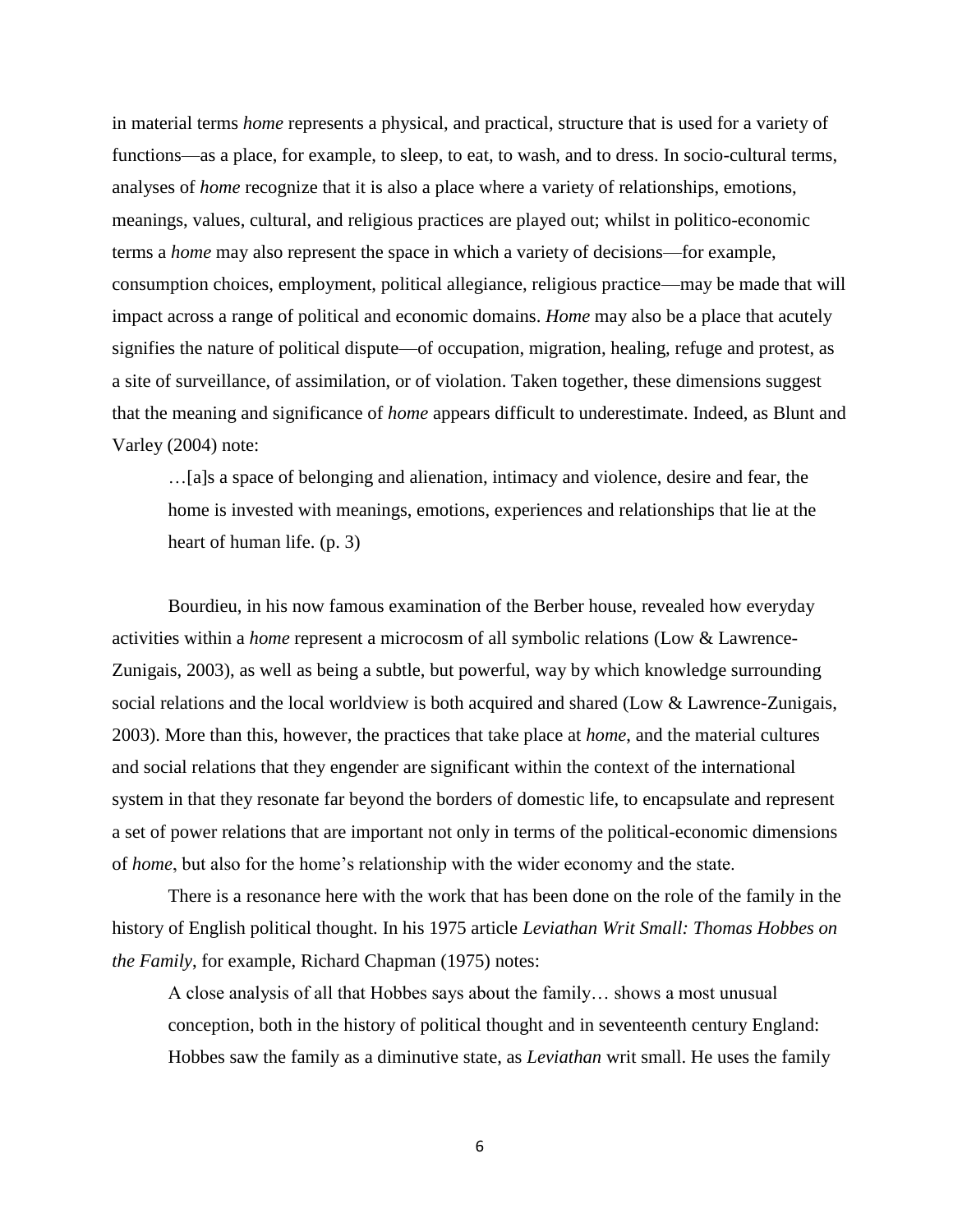in material terms *home* represents a physical, and practical, structure that is used for a variety of functions—as a place, for example, to sleep, to eat, to wash, and to dress. In socio-cultural terms, analyses of *home* recognize that it is also a place where a variety of relationships, emotions, meanings, values, cultural, and religious practices are played out; whilst in politico-economic terms a *home* may also represent the space in which a variety of decisions—for example, consumption choices, employment, political allegiance, religious practice—may be made that will impact across a range of political and economic domains. *Home* may also be a place that acutely signifies the nature of political dispute—of occupation, migration, healing, refuge and protest, as a site of surveillance, of assimilation, or of violation. Taken together, these dimensions suggest that the meaning and significance of *home* appears difficult to underestimate. Indeed, as Blunt and Varley (2004) note:

…[a]s a space of belonging and alienation, intimacy and violence, desire and fear, the home is invested with meanings, emotions, experiences and relationships that lie at the heart of human life. (p. 3)

Bourdieu, in his now famous examination of the Berber house, revealed how everyday activities within a *home* represent a microcosm of all symbolic relations (Low & Lawrence-Zunigais, 2003), as well as being a subtle, but powerful, way by which knowledge surrounding social relations and the local worldview is both acquired and shared (Low & Lawrence-Zunigais, 2003). More than this, however, the practices that take place at *home*, and the material cultures and social relations that they engender are significant within the context of the international system in that they resonate far beyond the borders of domestic life, to encapsulate and represent a set of power relations that are important not only in terms of the political-economic dimensions of *home*, but also for the home's relationship with the wider economy and the state.

There is a resonance here with the work that has been done on the role of the family in the history of English political thought. In his 1975 article *Leviathan Writ Small: Thomas Hobbes on the Family*, for example, Richard Chapman (1975) notes:

A close analysis of all that Hobbes says about the family… shows a most unusual conception, both in the history of political thought and in seventeenth century England: Hobbes saw the family as a diminutive state, as *Leviathan* writ small. He uses the family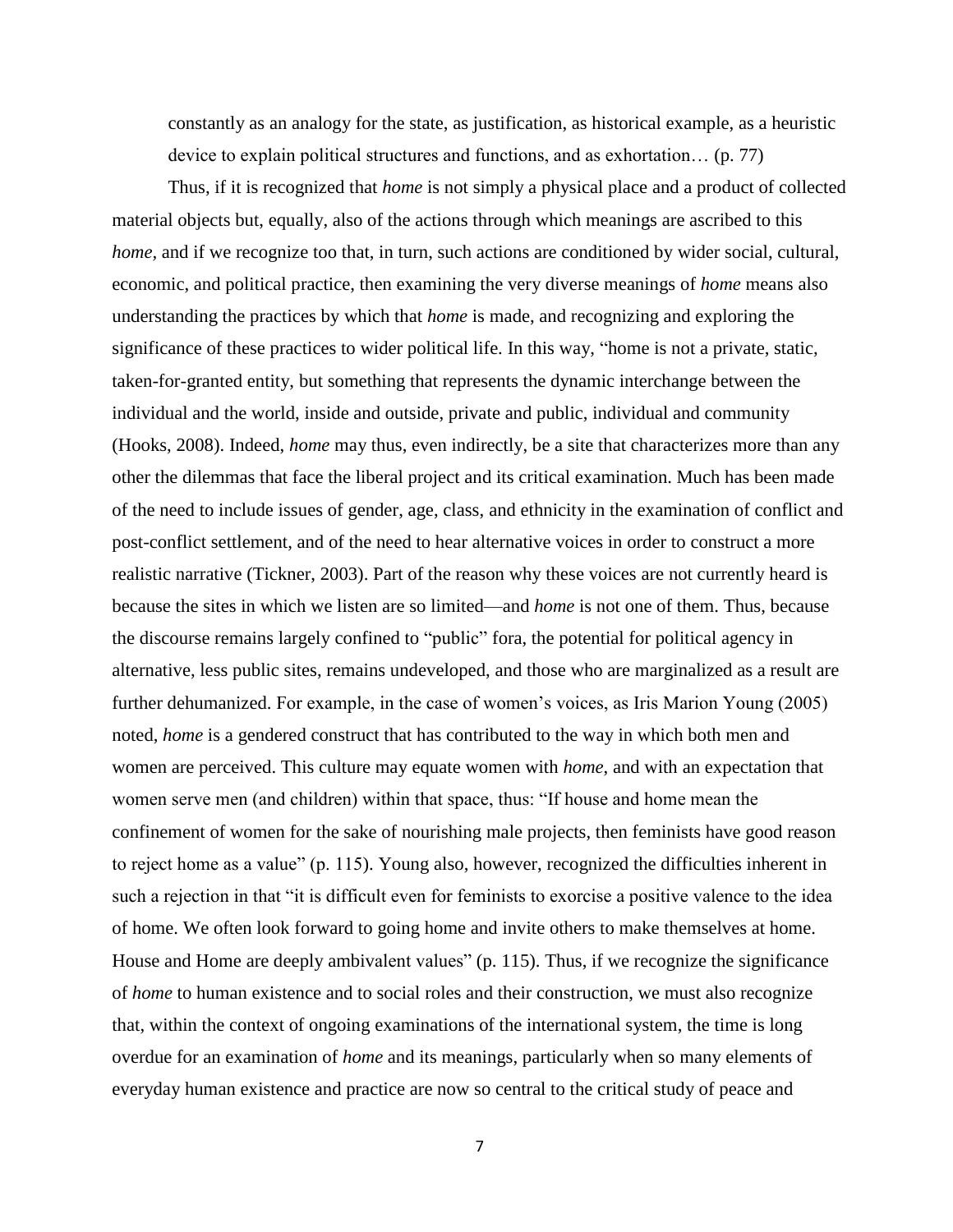constantly as an analogy for the state, as justification, as historical example, as a heuristic device to explain political structures and functions, and as exhortation… (p. 77)

Thus, if it is recognized that *home* is not simply a physical place and a product of collected material objects but, equally, also of the actions through which meanings are ascribed to this *home*, and if we recognize too that, in turn, such actions are conditioned by wider social, cultural, economic, and political practice, then examining the very diverse meanings of *home* means also understanding the practices by which that *home* is made, and recognizing and exploring the significance of these practices to wider political life. In this way, "home is not a private, static, taken-for-granted entity, but something that represents the dynamic interchange between the individual and the world, inside and outside, private and public, individual and community (Hooks, 2008). Indeed, *home* may thus, even indirectly, be a site that characterizes more than any other the dilemmas that face the liberal project and its critical examination. Much has been made of the need to include issues of gender, age, class, and ethnicity in the examination of conflict and post-conflict settlement, and of the need to hear alternative voices in order to construct a more realistic narrative (Tickner, 2003). Part of the reason why these voices are not currently heard is because the sites in which we listen are so limited—and *home* is not one of them. Thus, because the discourse remains largely confined to "public" fora, the potential for political agency in alternative, less public sites, remains undeveloped, and those who are marginalized as a result are further dehumanized. For example, in the case of women's voices, as Iris Marion Young (2005) noted, *home* is a gendered construct that has contributed to the way in which both men and women are perceived. This culture may equate women with *home*, and with an expectation that women serve men (and children) within that space, thus: "If house and home mean the confinement of women for the sake of nourishing male projects, then feminists have good reason to reject home as a value" (p. 115). Young also, however, recognized the difficulties inherent in such a rejection in that "it is difficult even for feminists to exorcise a positive valence to the idea of home. We often look forward to going home and invite others to make themselves at home. House and Home are deeply ambivalent values" (p. 115). Thus, if we recognize the significance of *home* to human existence and to social roles and their construction, we must also recognize that, within the context of ongoing examinations of the international system, the time is long overdue for an examination of *home* and its meanings, particularly when so many elements of everyday human existence and practice are now so central to the critical study of peace and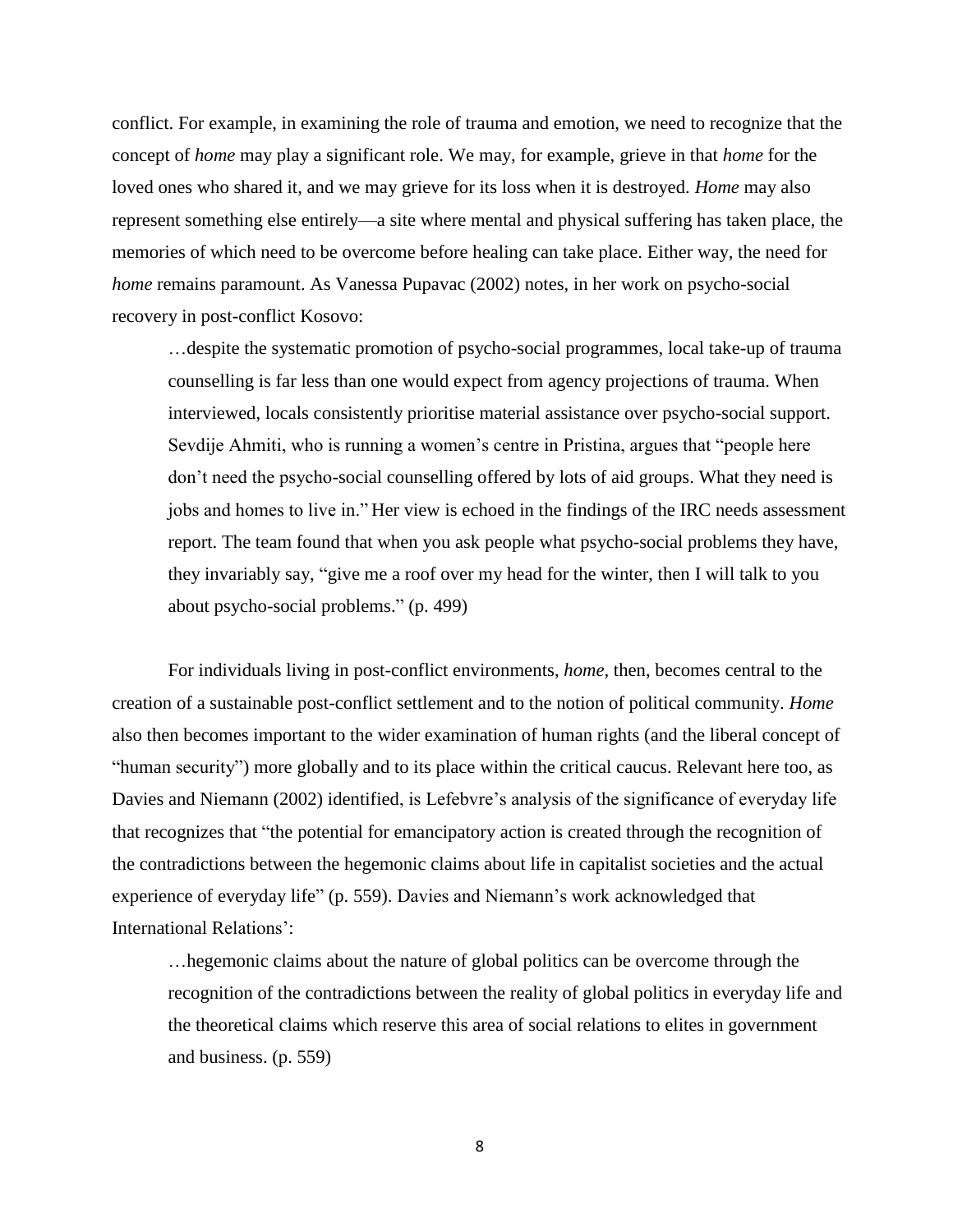conflict. For example, in examining the role of trauma and emotion, we need to recognize that the concept of *home* may play a significant role. We may, for example, grieve in that *home* for the loved ones who shared it, and we may grieve for its loss when it is destroyed. *Home* may also represent something else entirely—a site where mental and physical suffering has taken place, the memories of which need to be overcome before healing can take place. Either way, the need for *home* remains paramount. As Vanessa Pupavac (2002) notes, in her work on psycho-social recovery in post-conflict Kosovo:

…despite the systematic promotion of psycho-social programmes, local take-up of trauma counselling is far less than one would expect from agency projections of trauma. When interviewed, locals consistently prioritise material assistance over psycho-social support. Sevdije Ahmiti, who is running a women's centre in Pristina, argues that "people here don't need the psycho-social counselling offered by lots of aid groups. What they need is jobs and homes to live in." Her view is echoed in the findings of the IRC needs assessment report. The team found that when you ask people what psycho-social problems they have, they invariably say, "give me a roof over my head for the winter, then I will talk to you about psycho-social problems." (p. 499)

For individuals living in post-conflict environments, *home*, then, becomes central to the creation of a sustainable post-conflict settlement and to the notion of political community. *Home* also then becomes important to the wider examination of human rights (and the liberal concept of "human security") more globally and to its place within the critical caucus. Relevant here too, as Davies and Niemann (2002) identified, is Lefebvre's analysis of the significance of everyday life that recognizes that "the potential for emancipatory action is created through the recognition of the contradictions between the hegemonic claims about life in capitalist societies and the actual experience of everyday life" (p. 559). Davies and Niemann's work acknowledged that International Relations':

…hegemonic claims about the nature of global politics can be overcome through the recognition of the contradictions between the reality of global politics in everyday life and the theoretical claims which reserve this area of social relations to elites in government and business. (p. 559)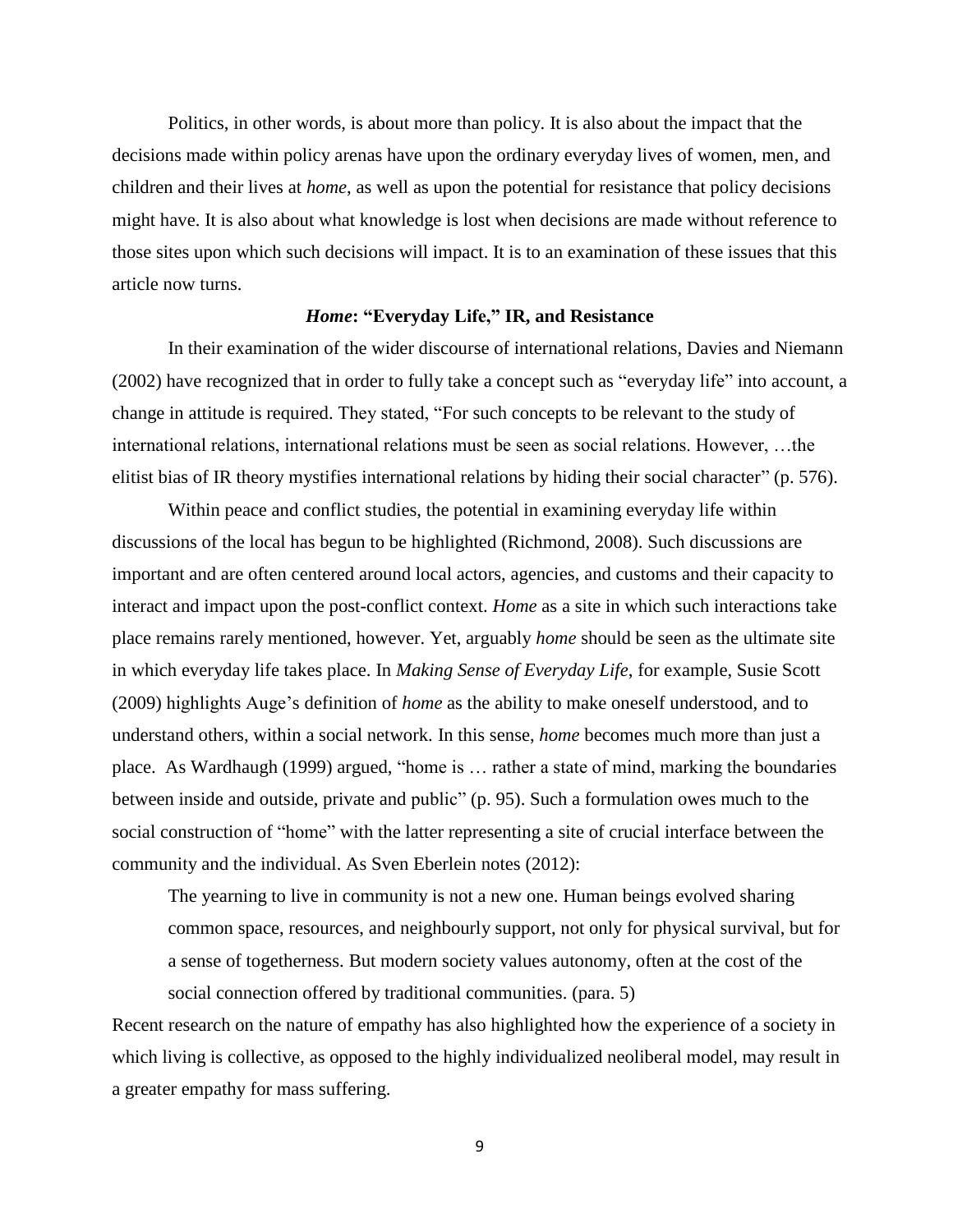Politics, in other words, is about more than policy. It is also about the impact that the decisions made within policy arenas have upon the ordinary everyday lives of women, men, and children and their lives at *home*, as well as upon the potential for resistance that policy decisions might have. It is also about what knowledge is lost when decisions are made without reference to those sites upon which such decisions will impact. It is to an examination of these issues that this article now turns.

#### *Home***: "Everyday Life," IR, and Resistance**

In their examination of the wider discourse of international relations, Davies and Niemann (2002) have recognized that in order to fully take a concept such as "everyday life" into account, a change in attitude is required. They stated, "For such concepts to be relevant to the study of international relations, international relations must be seen as social relations. However, …the elitist bias of IR theory mystifies international relations by hiding their social character" (p. 576).

Within peace and conflict studies, the potential in examining everyday life within discussions of the local has begun to be highlighted (Richmond, 2008). Such discussions are important and are often centered around local actors, agencies, and customs and their capacity to interact and impact upon the post-conflict context. *Home* as a site in which such interactions take place remains rarely mentioned, however. Yet, arguably *home* should be seen as the ultimate site in which everyday life takes place. In *Making Sense of Everyday Life*, for example, Susie Scott (2009) highlights Auge's definition of *home* as the ability to make oneself understood, and to understand others, within a social network. In this sense, *home* becomes much more than just a place. As Wardhaugh (1999) argued, "home is … rather a state of mind, marking the boundaries between inside and outside, private and public" (p. 95). Such a formulation owes much to the social construction of "home" with the latter representing a site of crucial interface between the community and the individual. As Sven Eberlein notes (2012):

The yearning to live in community is not a new one. Human beings evolved sharing common space, resources, and neighbourly support, not only for physical survival, but for a sense of togetherness. But modern society values autonomy, often at the cost of the social connection offered by traditional communities. (para. 5)

Recent research on the nature of empathy has also highlighted how the experience of a society in which living is collective, as opposed to the highly individualized neoliberal model, may result in a greater empathy for mass suffering.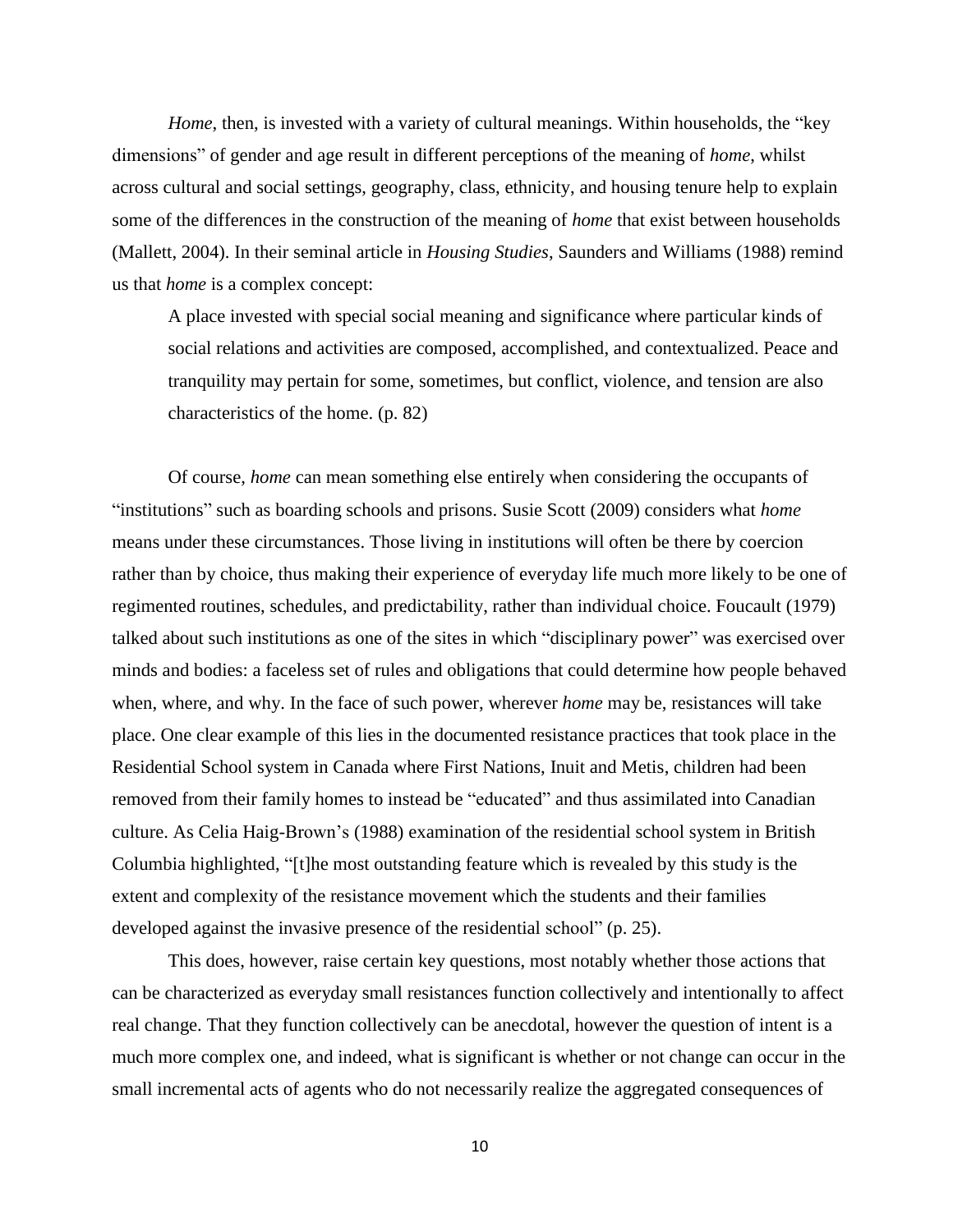*Home*, then, is invested with a variety of cultural meanings. Within households, the "key" dimensions" of gender and age result in different perceptions of the meaning of *home*, whilst across cultural and social settings, geography, class, ethnicity, and housing tenure help to explain some of the differences in the construction of the meaning of *home* that exist between households (Mallett, 2004). In their seminal article in *Housing Studies*, Saunders and Williams (1988) remind us that *home* is a complex concept:

A place invested with special social meaning and significance where particular kinds of social relations and activities are composed, accomplished, and contextualized. Peace and tranquility may pertain for some, sometimes, but conflict, violence, and tension are also characteristics of the home. (p. 82)

Of course, *home* can mean something else entirely when considering the occupants of "institutions" such as boarding schools and prisons. Susie Scott (2009) considers what *home* means under these circumstances. Those living in institutions will often be there by coercion rather than by choice, thus making their experience of everyday life much more likely to be one of regimented routines, schedules, and predictability, rather than individual choice. Foucault (1979) talked about such institutions as one of the sites in which "disciplinary power" was exercised over minds and bodies: a faceless set of rules and obligations that could determine how people behaved when, where, and why. In the face of such power, wherever *home* may be, resistances will take place. One clear example of this lies in the documented resistance practices that took place in the Residential School system in Canada where First Nations, Inuit and Metis, children had been removed from their family homes to instead be "educated" and thus assimilated into Canadian culture. As Celia Haig-Brown's (1988) examination of the residential school system in British Columbia highlighted, "[t]he most outstanding feature which is revealed by this study is the extent and complexity of the resistance movement which the students and their families developed against the invasive presence of the residential school" (p. 25).

This does, however, raise certain key questions, most notably whether those actions that can be characterized as everyday small resistances function collectively and intentionally to affect real change. That they function collectively can be anecdotal, however the question of intent is a much more complex one, and indeed, what is significant is whether or not change can occur in the small incremental acts of agents who do not necessarily realize the aggregated consequences of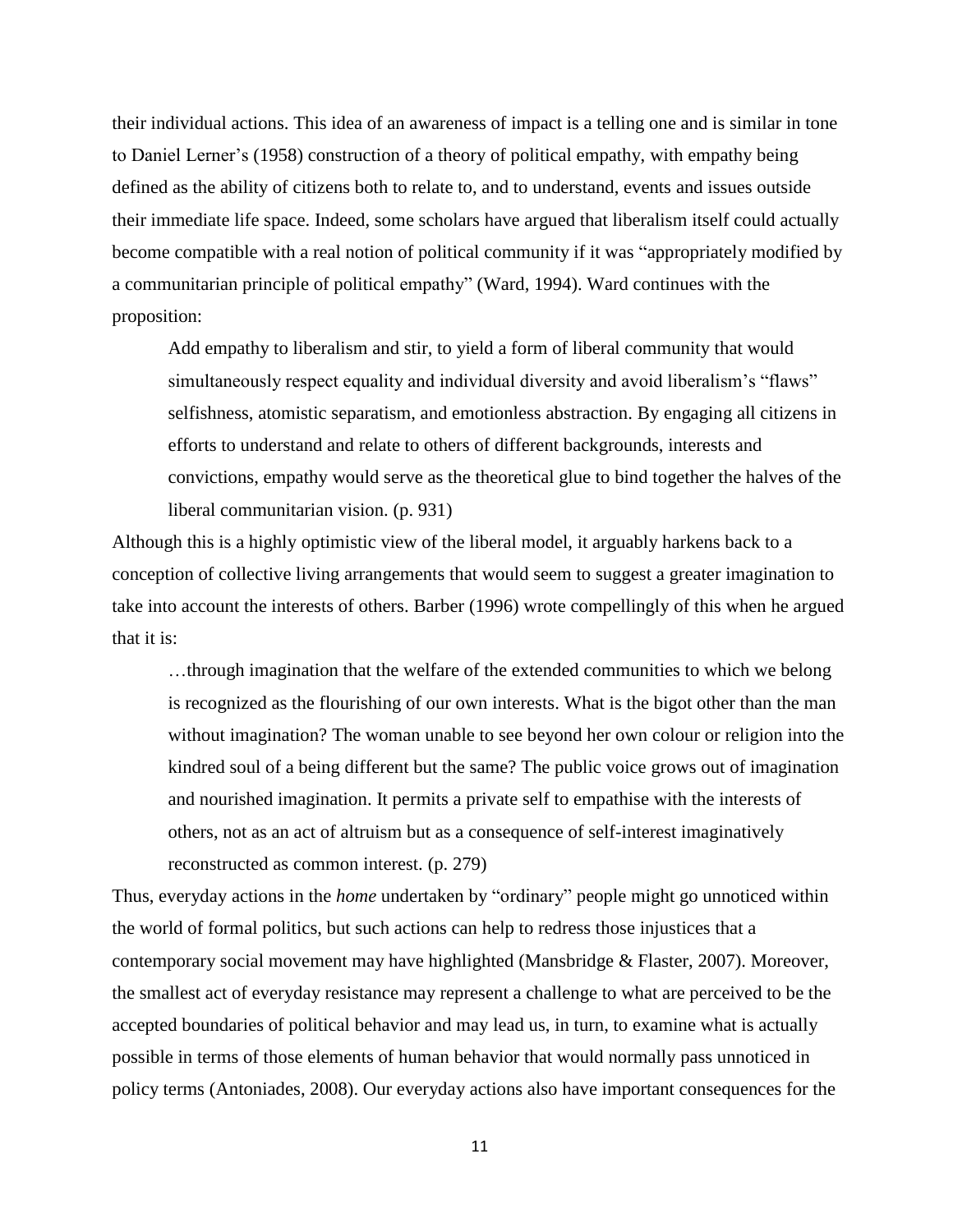their individual actions. This idea of an awareness of impact is a telling one and is similar in tone to Daniel Lerner's (1958) construction of a theory of political empathy, with empathy being defined as the ability of citizens both to relate to, and to understand, events and issues outside their immediate life space. Indeed, some scholars have argued that liberalism itself could actually become compatible with a real notion of political community if it was "appropriately modified by a communitarian principle of political empathy" (Ward, 1994). Ward continues with the proposition:

Add empathy to liberalism and stir, to yield a form of liberal community that would simultaneously respect equality and individual diversity and avoid liberalism's "flaws" selfishness, atomistic separatism, and emotionless abstraction. By engaging all citizens in efforts to understand and relate to others of different backgrounds, interests and convictions, empathy would serve as the theoretical glue to bind together the halves of the liberal communitarian vision. (p. 931)

Although this is a highly optimistic view of the liberal model, it arguably harkens back to a conception of collective living arrangements that would seem to suggest a greater imagination to take into account the interests of others. Barber (1996) wrote compellingly of this when he argued that it is:

…through imagination that the welfare of the extended communities to which we belong is recognized as the flourishing of our own interests. What is the bigot other than the man without imagination? The woman unable to see beyond her own colour or religion into the kindred soul of a being different but the same? The public voice grows out of imagination and nourished imagination. It permits a private self to empathise with the interests of others, not as an act of altruism but as a consequence of self-interest imaginatively reconstructed as common interest. (p. 279)

Thus, everyday actions in the *home* undertaken by "ordinary" people might go unnoticed within the world of formal politics, but such actions can help to redress those injustices that a contemporary social movement may have highlighted (Mansbridge & Flaster, 2007). Moreover, the smallest act of everyday resistance may represent a challenge to what are perceived to be the accepted boundaries of political behavior and may lead us, in turn, to examine what is actually possible in terms of those elements of human behavior that would normally pass unnoticed in policy terms (Antoniades, 2008). Our everyday actions also have important consequences for the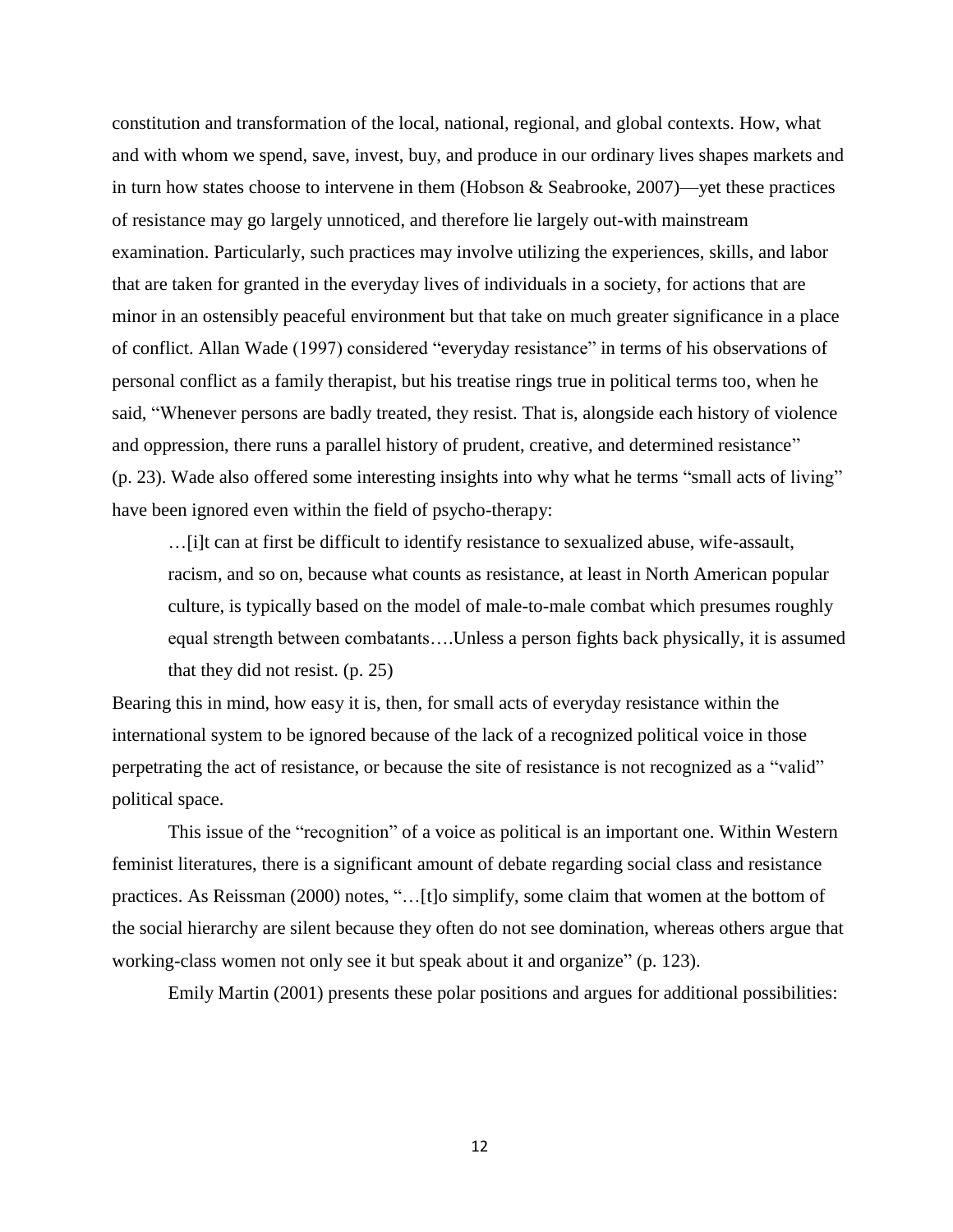constitution and transformation of the local, national, regional, and global contexts. How, what and with whom we spend, save, invest, buy, and produce in our ordinary lives shapes markets and in turn how states choose to intervene in them (Hobson & Seabrooke, 2007)—yet these practices of resistance may go largely unnoticed, and therefore lie largely out-with mainstream examination. Particularly, such practices may involve utilizing the experiences, skills, and labor that are taken for granted in the everyday lives of individuals in a society, for actions that are minor in an ostensibly peaceful environment but that take on much greater significance in a place of conflict. Allan Wade (1997) considered "everyday resistance" in terms of his observations of personal conflict as a family therapist, but his treatise rings true in political terms too, when he said, "Whenever persons are badly treated, they resist. That is, alongside each history of violence and oppression, there runs a parallel history of prudent, creative, and determined resistance" (p. 23). Wade also offered some interesting insights into why what he terms "small acts of living" have been ignored even within the field of psycho-therapy:

…[i]t can at first be difficult to identify resistance to sexualized abuse, wife-assault, racism, and so on, because what counts as resistance, at least in North American popular culture, is typically based on the model of male-to-male combat which presumes roughly equal strength between combatants….Unless a person fights back physically, it is assumed that they did not resist. (p. 25)

Bearing this in mind, how easy it is, then, for small acts of everyday resistance within the international system to be ignored because of the lack of a recognized political voice in those perpetrating the act of resistance, or because the site of resistance is not recognized as a "valid" political space.

This issue of the "recognition" of a voice as political is an important one. Within Western feminist literatures, there is a significant amount of debate regarding social class and resistance practices. As Reissman (2000) notes, "…[t]o simplify, some claim that women at the bottom of the social hierarchy are silent because they often do not see domination, whereas others argue that working-class women not only see it but speak about it and organize" (p. 123).

Emily Martin (2001) presents these polar positions and argues for additional possibilities: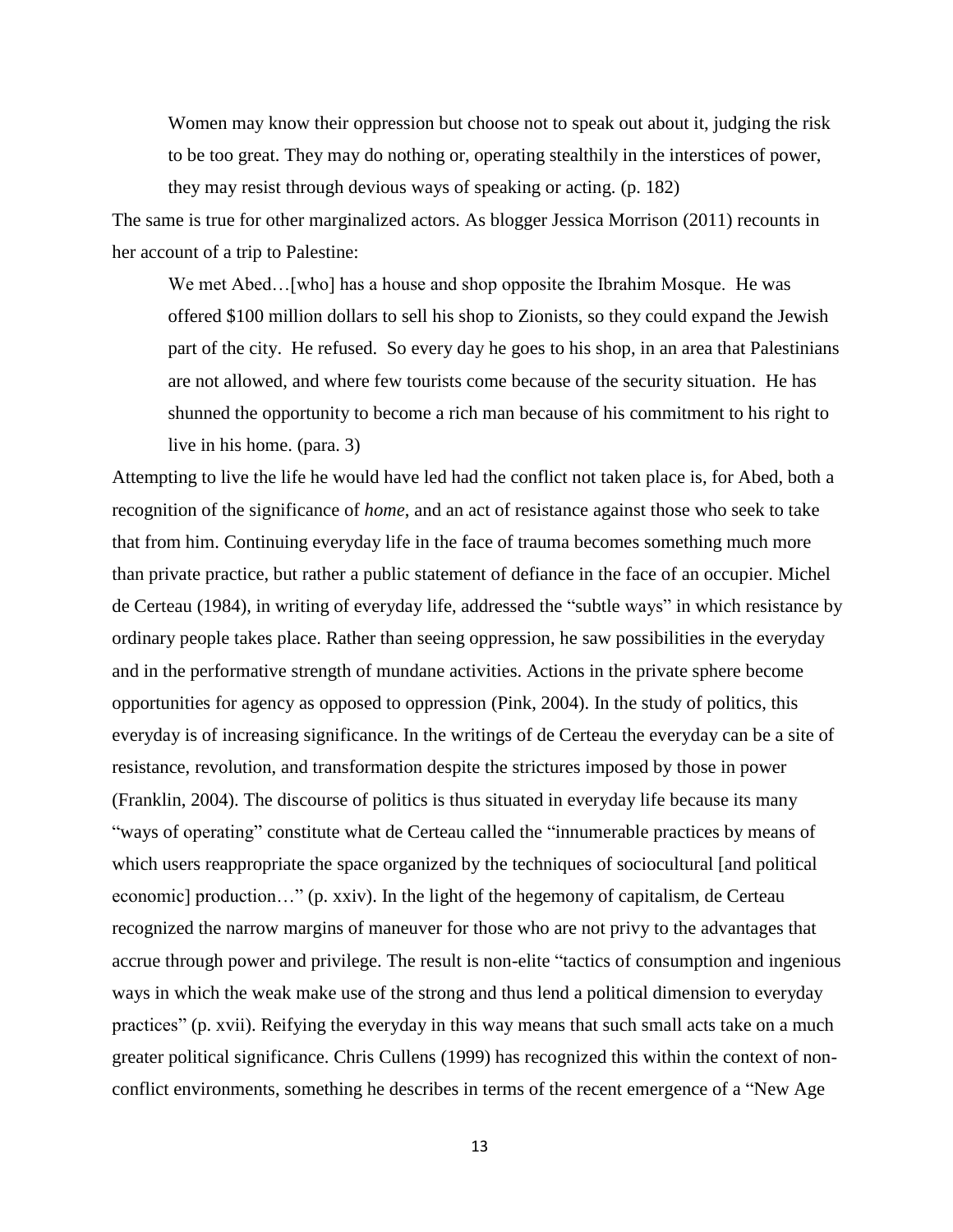Women may know their oppression but choose not to speak out about it, judging the risk to be too great. They may do nothing or, operating stealthily in the interstices of power, they may resist through devious ways of speaking or acting. (p. 182)

The same is true for other marginalized actors. As blogger Jessica Morrison (2011) recounts in her account of a trip to Palestine:

We met Abed... [who] has a house and shop opposite the Ibrahim Mosque. He was offered \$100 million dollars to sell his shop to Zionists, so they could expand the Jewish part of the city. He refused. So every day he goes to his shop, in an area that Palestinians are not allowed, and where few tourists come because of the security situation. He has shunned the opportunity to become a rich man because of his commitment to his right to live in his home. (para. 3)

Attempting to live the life he would have led had the conflict not taken place is, for Abed, both a recognition of the significance of *home*, and an act of resistance against those who seek to take that from him. Continuing everyday life in the face of trauma becomes something much more than private practice, but rather a public statement of defiance in the face of an occupier. Michel de Certeau (1984), in writing of everyday life, addressed the "subtle ways" in which resistance by ordinary people takes place. Rather than seeing oppression, he saw possibilities in the everyday and in the performative strength of mundane activities. Actions in the private sphere become opportunities for agency as opposed to oppression (Pink, 2004). In the study of politics, this everyday is of increasing significance. In the writings of de Certeau the everyday can be a site of resistance, revolution, and transformation despite the strictures imposed by those in power (Franklin, 2004). The discourse of politics is thus situated in everyday life because its many "ways of operating" constitute what de Certeau called the "innumerable practices by means of which users reappropriate the space organized by the techniques of sociocultural [and political economic] production…" (p. xxiv). In the light of the hegemony of capitalism, de Certeau recognized the narrow margins of maneuver for those who are not privy to the advantages that accrue through power and privilege. The result is non-elite "tactics of consumption and ingenious ways in which the weak make use of the strong and thus lend a political dimension to everyday practices" (p. xvii). Reifying the everyday in this way means that such small acts take on a much greater political significance. Chris Cullens (1999) has recognized this within the context of nonconflict environments, something he describes in terms of the recent emergence of a "New Age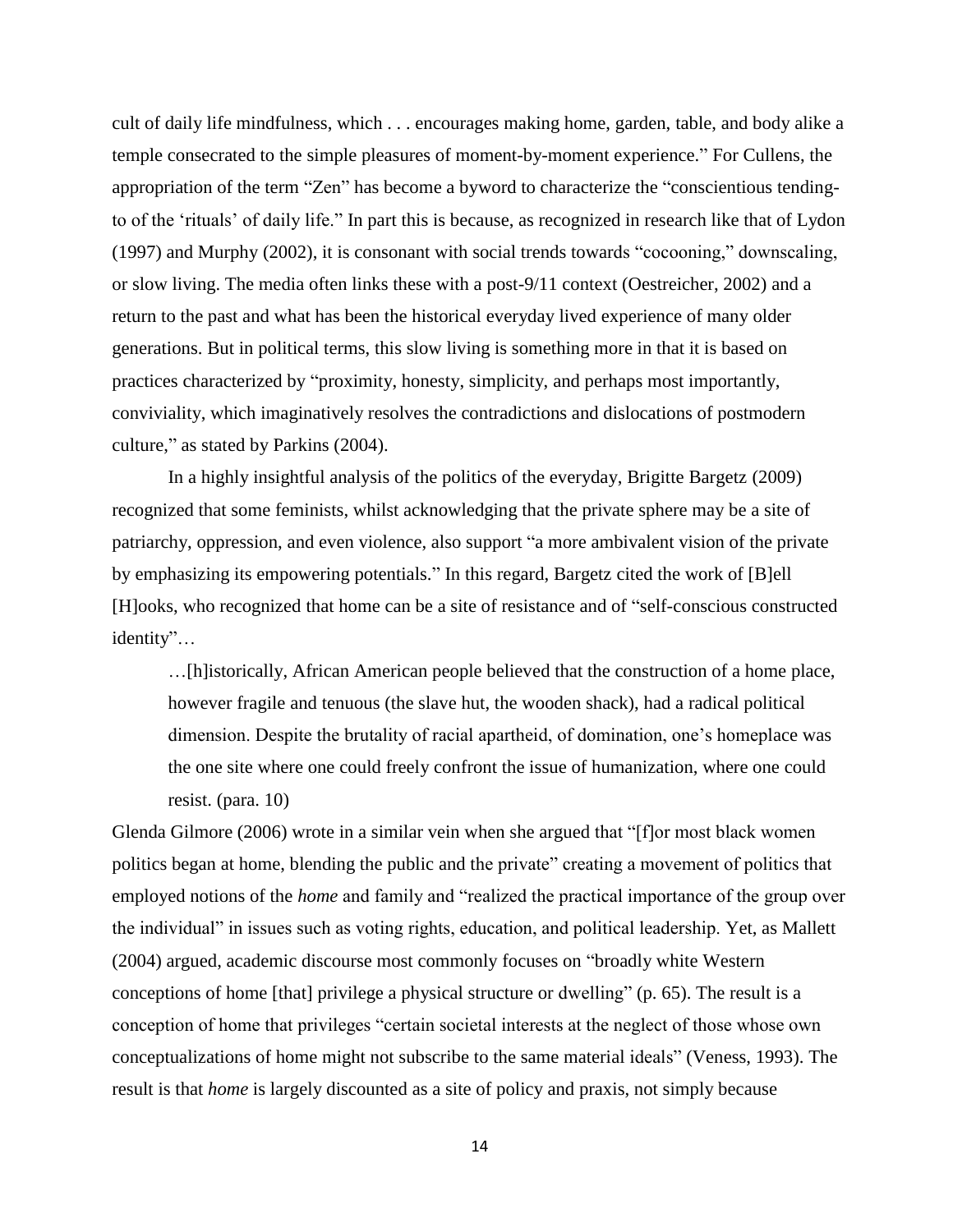cult of daily life mindfulness, which . . . encourages making home, garden, table, and body alike a temple consecrated to the simple pleasures of moment-by-moment experience." For Cullens, the appropriation of the term "Zen" has become a byword to characterize the "conscientious tendingto of the 'rituals' of daily life." In part this is because, as recognized in research like that of Lydon (1997) and Murphy (2002), it is consonant with social trends towards "cocooning," downscaling, or slow living. The media often links these with a post-9/11 context (Oestreicher, 2002) and a return to the past and what has been the historical everyday lived experience of many older generations. But in political terms, this slow living is something more in that it is based on practices characterized by "proximity, honesty, simplicity, and perhaps most importantly, conviviality, which imaginatively resolves the contradictions and dislocations of postmodern culture," as stated by Parkins (2004).

In a highly insightful analysis of the politics of the everyday, Brigitte Bargetz (2009) recognized that some feminists, whilst acknowledging that the private sphere may be a site of patriarchy, oppression, and even violence, also support "a more ambivalent vision of the private by emphasizing its empowering potentials." In this regard, Bargetz cited the work of [B]ell [H]ooks, who recognized that home can be a site of resistance and of "self-conscious constructed identity"…

…[h]istorically, African American people believed that the construction of a home place, however fragile and tenuous (the slave hut, the wooden shack), had a radical political dimension. Despite the brutality of racial apartheid, of domination, one's homeplace was the one site where one could freely confront the issue of humanization, where one could resist. (para. 10)

Glenda Gilmore (2006) wrote in a similar vein when she argued that "[f]or most black women politics began at home, blending the public and the private" creating a movement of politics that employed notions of the *home* and family and "realized the practical importance of the group over the individual" in issues such as voting rights, education, and political leadership. Yet, as Mallett (2004) argued, academic discourse most commonly focuses on "broadly white Western conceptions of home [that] privilege a physical structure or dwelling" (p. 65). The result is a conception of home that privileges "certain societal interests at the neglect of those whose own conceptualizations of home might not subscribe to the same material ideals" (Veness, 1993). The result is that *home* is largely discounted as a site of policy and praxis, not simply because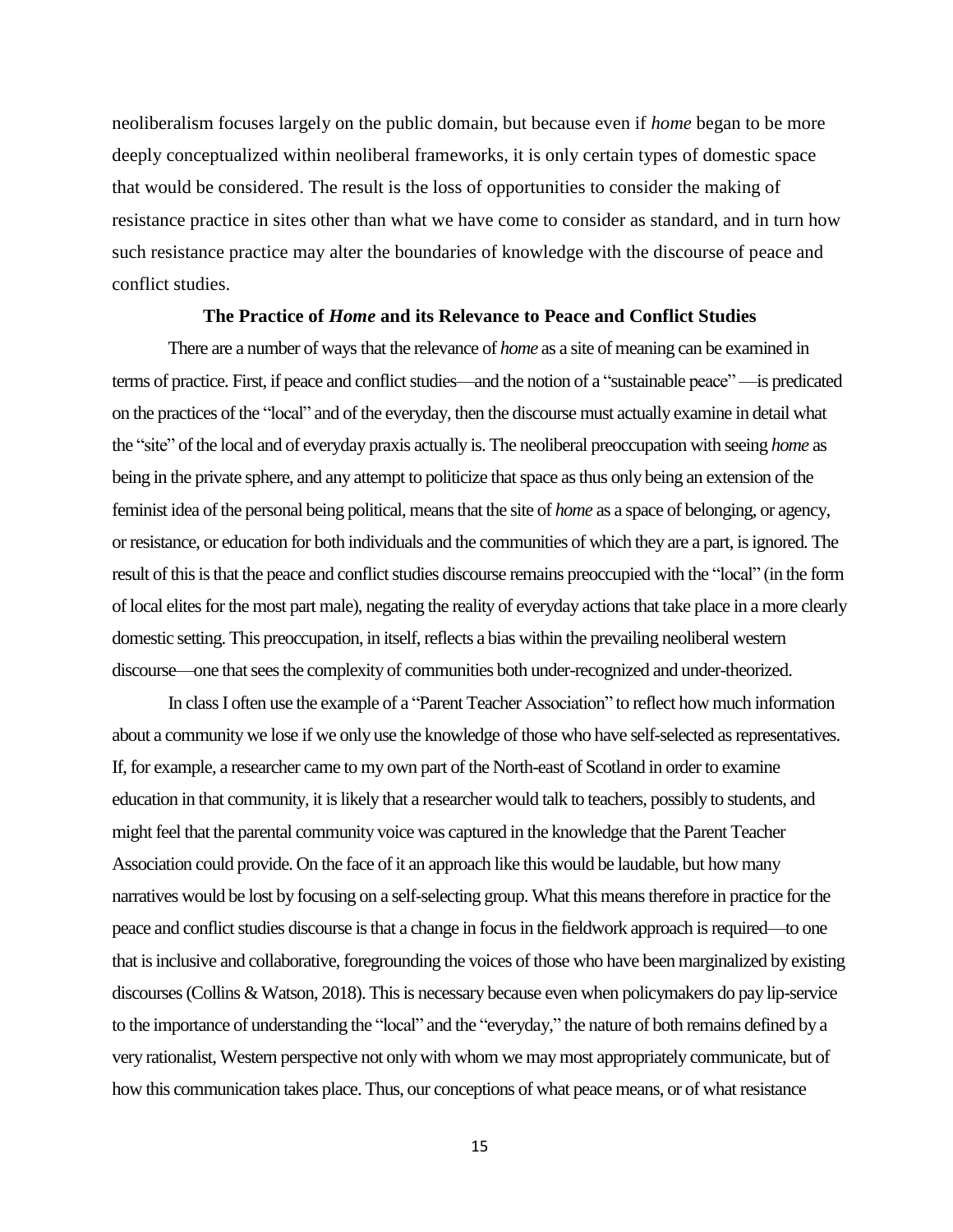neoliberalism focuses largely on the public domain, but because even if *home* began to be more deeply conceptualized within neoliberal frameworks, it is only certain types of domestic space that would be considered. The result is the loss of opportunities to consider the making of resistance practice in sites other than what we have come to consider as standard, and in turn how such resistance practice may alter the boundaries of knowledge with the discourse of peace and conflict studies.

#### **The Practice of** *Home* **and its Relevance to Peace and Conflict Studies**

There are a number of ways that the relevance of *home* as a site of meaning can be examined in terms of practice. First, if peace and conflict studies—and the notion of a "sustainable peace" —is predicated on the practices of the "local" and of the everyday, then the discourse must actually examine in detail what the "site" of the local and of everyday praxis actually is. The neoliberal preoccupation with seeing *home* as being in the private sphere, and any attempt to politicize that space as thus only being an extension of the feminist idea of the personal being political, means that the site of *home* as a space of belonging, or agency, or resistance, or education for both individuals and the communities of which they are a part, is ignored. The result of this is that the peace and conflict studies discourse remains preoccupied with the "local" (in the form of local elites for the most part male), negating the reality of everyday actions that take place in a more clearly domestic setting. This preoccupation, in itself, reflects a bias within the prevailing neoliberal western discourse—one that sees the complexity of communities both under-recognized and under-theorized.

In class I often use the example of a "Parent Teacher Association" to reflect how much information about a community we lose if we only use the knowledge of those who have self-selected as representatives. If, for example, a researcher came to my own part of the North-east of Scotland in order to examine education in that community, it is likely that a researcher would talk to teachers, possibly to students, and might feel that the parental community voice was captured in the knowledge that the Parent Teacher Association could provide. On the face of it an approach like this would be laudable, but how many narratives would be lost by focusing on a self-selecting group. What this means therefore in practice for the peace and conflict studies discourse is that a change in focus in the fieldwork approach is required—to one that is inclusive and collaborative, foregrounding the voices of those who have been marginalized by existing discourses(Collins & Watson, 2018). This is necessary because even when policymakers do pay lip-service to the importance of understanding the "local" and the "everyday," the nature of both remains defined by a very rationalist, Western perspective not only with whom we may most appropriately communicate, but of how this communication takes place. Thus, our conceptions of what peace means, or of what resistance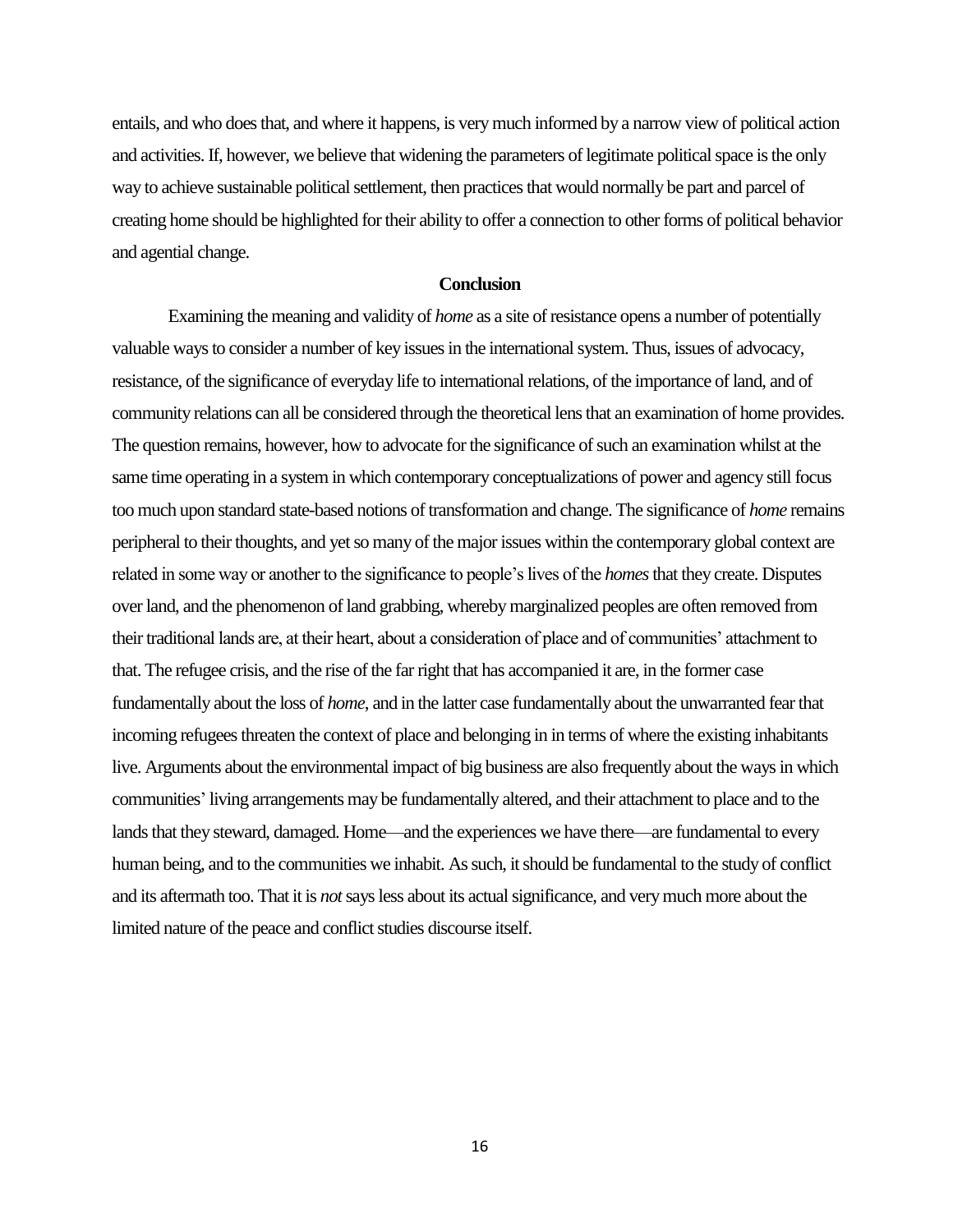entails, and who does that, and where it happens, is very much informed by a narrow view of political action and activities. If, however, we believe that widening the parameters of legitimate political space is the only way to achieve sustainable political settlement, then practices that would normally be part and parcel of creating home should be highlighted for their ability to offer a connection to other forms of political behavior and agential change.

#### **Conclusion**

Examining the meaning and validity of *home* as a site of resistance opens a number of potentially valuable ways to consider a number of key issues in the international system. Thus, issues of advocacy, resistance, of the significance of everyday life to international relations, of the importance of land, and of community relations can all be considered through the theoretical lens that an examination of home provides. The question remains, however, how to advocate for the significance of such an examination whilst at the same time operating in a system in which contemporary conceptualizations of power and agency still focus too much upon standard state-based notions of transformation and change. The significance of *home* remains peripheral to their thoughts, and yet so many of the major issues within the contemporary global context are related in some way or another to the significance to people's lives of the *homes*that they create. Disputes over land, and the phenomenon of land grabbing, whereby marginalized peoples are often removed from their traditional lands are, at their heart, about a consideration of place and of communities' attachment to that. The refugee crisis, and the rise of the far right that has accompanied it are, in the former case fundamentally about the loss of *home*, and in the latter case fundamentally about the unwarranted fear that incoming refugees threaten the context of place and belonging in in terms of where the existing inhabitants live. Arguments about the environmental impact of big business are also frequently about the ways in which communities' living arrangements may be fundamentally altered, and their attachment to place and to the lands that they steward, damaged. Home—and the experiences we have there—are fundamental to every human being, and to the communities we inhabit. As such, it should be fundamental to the study of conflict and its aftermath too. That it is *not*says less about its actual significance, and very much more about the limited nature of the peace and conflict studies discourse itself.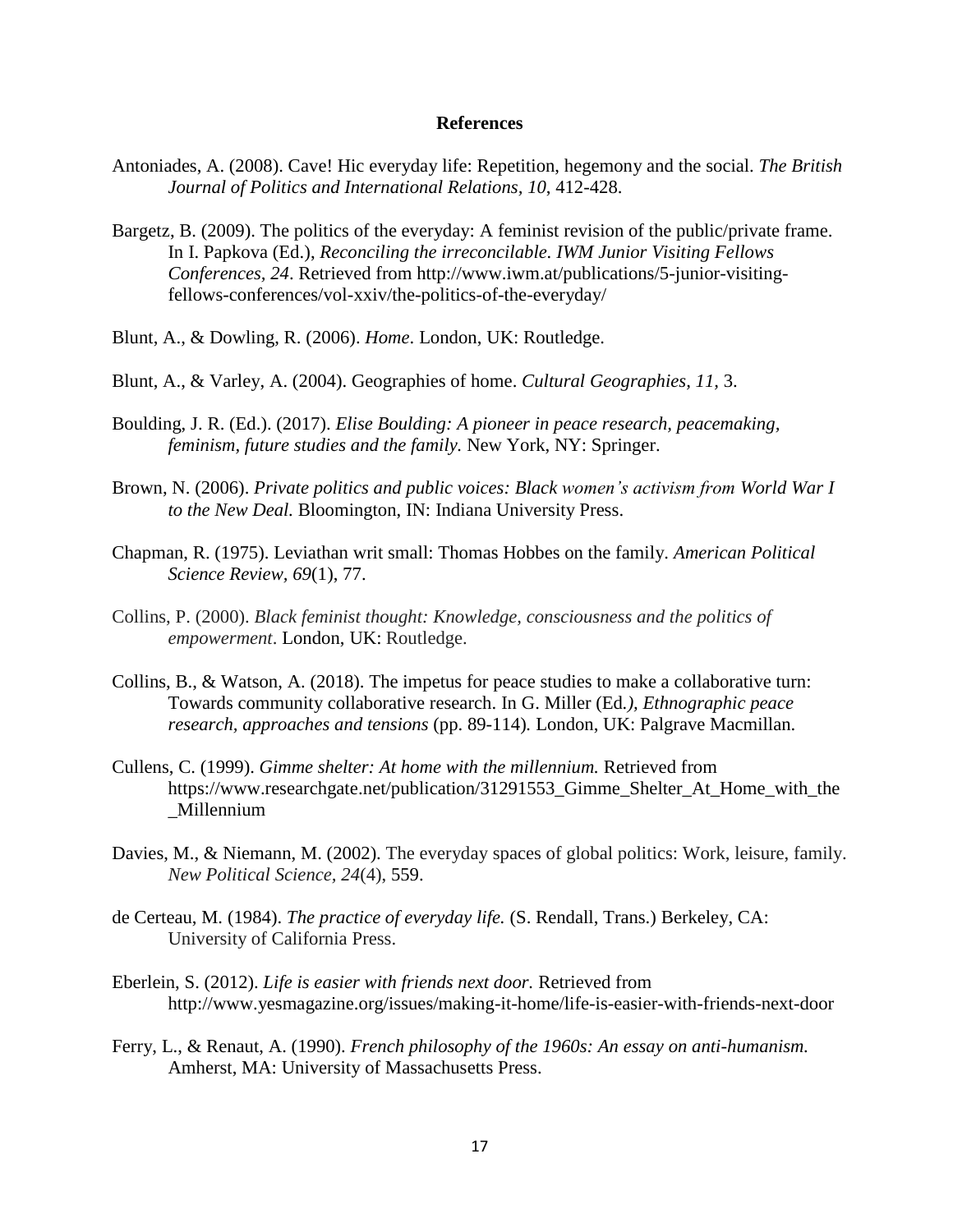#### **References**

- Antoniades, A. (2008). [Cave! Hic everyday life: Repetition, hegemony and the social.](http://www3.interscience.wiley.com/journal/120125201/abstract?CRETRY=1&SRETRY=0) *The British Journal of Politics and International Relations, 10*, 412-428.
- Bargetz, B. (2009). The politics of the everyday: A feminist revision of the public/private frame. In I. Papkova (Ed.), *Reconciling the irreconcilable. IWM Junior Visiting Fellows Conferences, 24*. Retrieved from http://www.iwm.at/publications/5-junior-visitingfellows-conferences/vol-xxiv/the-politics-of-the-everyday/
- Blunt, A., & Dowling, R. (2006). *Home*. London, UK: Routledge.
- Blunt, A., & Varley, A. (2004). Geographies of home. *Cultural Geographies, 11,* 3.
- Boulding, J. R. (Ed.). (2017). *[Elise Boulding: A pioneer in peace research, peacemaking,](https://link.springer.com/content/pdf/10.1007/978-3-319-31364-1.pdf)  [feminism, future studies and the family.](https://link.springer.com/content/pdf/10.1007/978-3-319-31364-1.pdf)* New York, NY: Springer.
- Brown, N. (2006). *Private politics and public voices: Black women's activism from World War I to the New Deal.* Bloomington, IN: Indiana University Press.
- Chapman, R. (1975). Leviathan writ small: Thomas Hobbes on the family. *American Political Science Review, 69*(1), 77.
- Collins, P. (2000). *Black feminist thought: Knowledge, consciousness and the politics of empowerment*. London, UK: Routledge.
- Collins, B., & Watson, A. (2018). The impetus for peace studies to make a collaborative turn: Towards community collaborative research. In G. Miller (Ed*.), Ethnographic peace research, approaches and tensions* (pp. 89-114)*.* London, UK: Palgrave Macmillan.
- Cullens, C. (1999). *Gimme shelter: At home with the millennium.* Retrieved from https://www.researchgate.net/publication/31291553 Gimme Shelter At Home with the \_Millennium
- Davies, M., & Niemann, M. (2002). The everyday spaces of global politics: Work, leisure, family. *New Political Science, 24*(4), 559.
- de Certeau, M. (1984). *The practice of everyday life.* (S. Rendall, Trans.) Berkeley, CA: University of California Press.
- Eberlein, S. (2012). *Life is easier with friends next door.* Retrieved from http://www.yesmagazine.org/issues/making-it-home/life-is-easier-with-friends-next-door
- Ferry, L., & Renaut, A. (1990). *French philosophy of the 1960s: An essay on anti-humanism.* Amherst, MA: University of Massachusetts Press.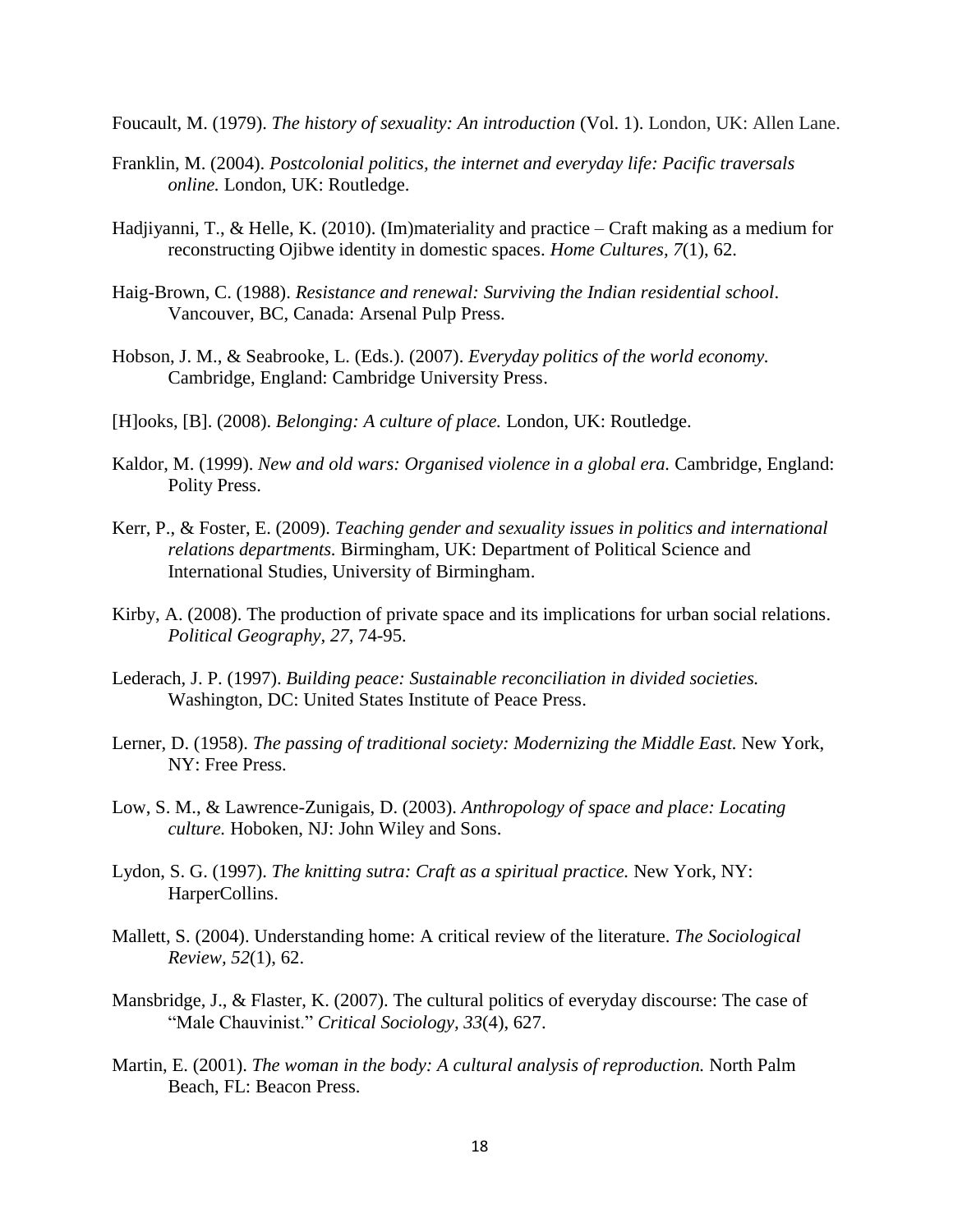Foucault, M. (1979). *The history of sexuality: An introduction* (Vol. 1). London, UK: Allen Lane.

- Franklin, M. (2004). *Postcolonial politics, the internet and everyday life: Pacific traversals online.* London, UK: Routledge.
- Hadjiyanni, T., & Helle, K. (2010). (Im)materiality and practice [Craft making as a medium for](http://dha.design.umn.edu/faculty/documents/Hadjiyanni-Ojibwe-HomeCultures.pdf)  [reconstructing Ojibwe identity in domestic spaces.](http://dha.design.umn.edu/faculty/documents/Hadjiyanni-Ojibwe-HomeCultures.pdf) *Home Cultures, 7*(1), 62.
- Haig-Brown, C. (1988). *Resistance and renewal: Surviving the Indian residential school*. Vancouver, BC, Canada: Arsenal Pulp Press.
- Hobson, J. M., & Seabrooke, L. (Eds.). (2007). *Everyday politics of the world economy.* Cambridge, England: Cambridge University Press.
- [H]ooks, [B]. (2008). *Belonging: A culture of place.* London, UK: Routledge.
- Kaldor, M. (1999). *New and old wars: Organised violence in a global era.* Cambridge, England: Polity Press.
- Kerr, P., & Foster, E. (2009). *Teaching gender and sexuality issues in politics and international relations departments.* Birmingham, UK: Department of Political Science and International Studies, University of Birmingham.
- Kirby, A. (2008). The production of private space and its implications for urban social relations. *Political Geography, 27,* 74-95.
- Lederach, J. P. (1997). *Building peace: Sustainable reconciliation in divided societies.* Washington, DC: United States Institute of Peace Press.
- Lerner, D. (1958). *[The passing of traditional society: Modernizing the Middle East.](https://books.google.com/books?id=zF4rAAAAYAAJ)* New York, NY: Free Press.
- Low, S. M., & Lawrence-Zunigais, D. (2003). *Anthropology of space and place: Locating culture.* Hoboken, NJ: John Wiley and Sons.
- Lydon, S. G. (1997). *The knitting sutra: Craft as a spiritual practice.* New York, NY: HarperCollins.
- Mallett, S. (2004). Understanding home: A critical review of the literature. *The Sociological Review, 52*[\(1\), 6](http://onlinelibrary.wiley.com/doi/10.1111/sore.2004.52.issue-1/issuetoc)2.
- Mansbridge, J., & Flaster, K. (2007). The cultural politics of everyday discourse: The case of "Male Chauvinist." *Critical Sociology, 33*(4), 627.
- Martin, E. (2001). *The woman in the body: A cultural analysis of reproduction.* North Palm Beach, FL: Beacon Press.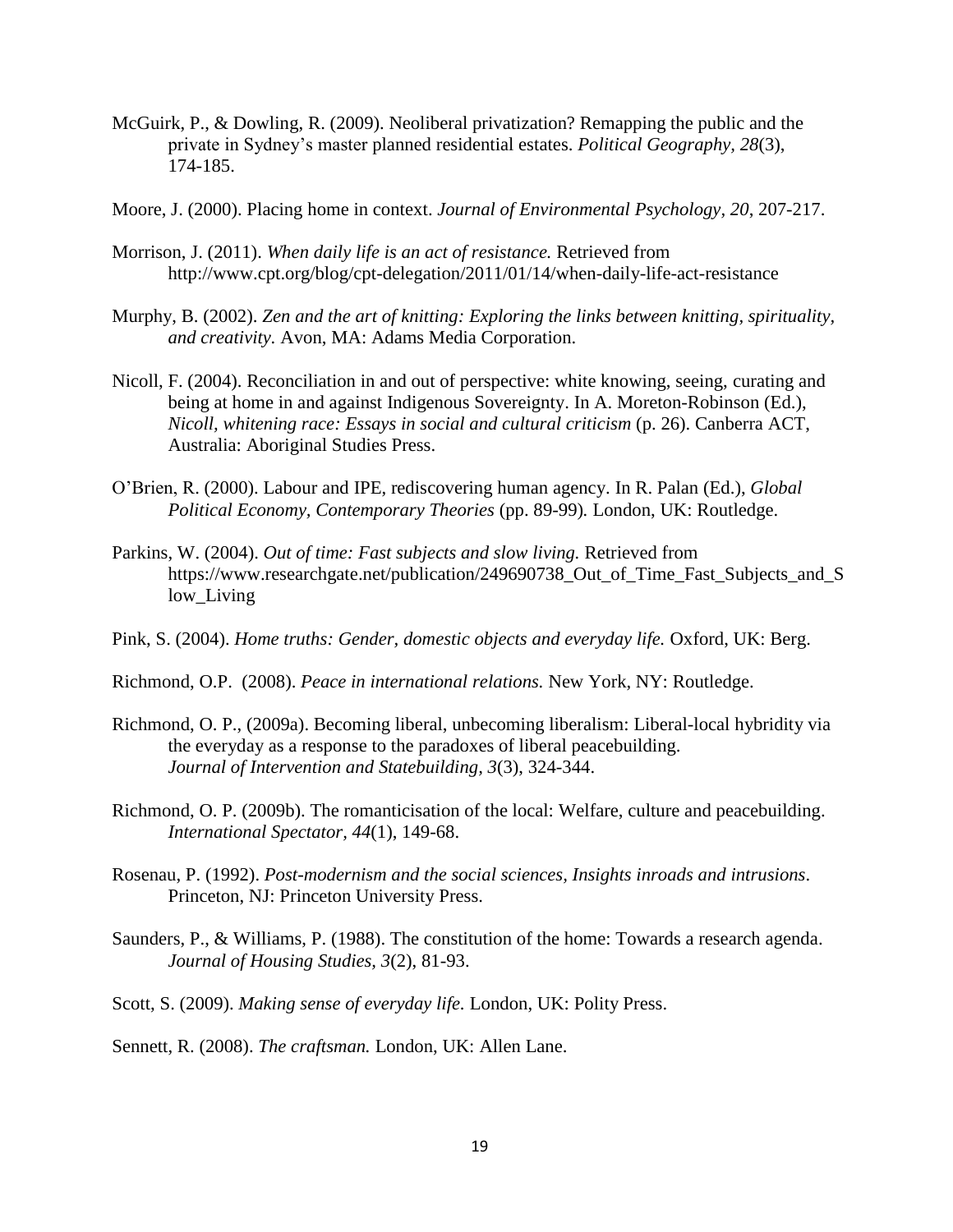- McGuirk, P., & Dowling, R. (2009). Neoliberal privatization? Remapping the public and the private in Sydney's master planned residential estates. *Political Geography, 28*(3), 174-185.
- Moore, J. (2000). Placing home in context. *Journal of Environmental Psychology, 20*, 207-217.
- Morrison, J. (2011). *When daily life is an act of resistance.* Retrieved from <http://www.cpt.org/blog/cpt-delegation/2011/01/14/when-daily-life-act-resistance>
- Murphy, B. (2002). *Zen and the art of knitting: Exploring the links between knitting, spirituality, and creativity.* Avon, MA: Adams Media Corporation.
- Nicoll, F. (2004). Reconciliation in and out of perspective: white knowing, seeing, curating and being at home in and against Indigenous Sovereignty. In A. Moreton-Robinson (Ed.), *Nicoll, whitening race: Essays in social and cultural criticism* (p. 26). Canberra ACT, Australia: Aboriginal Studies Press.
- O'Brien, R. (2000). Labour and IPE, rediscovering human agency. In R. Palan (Ed.), *Global Political Economy, Contemporary Theories* (pp. 89-99)*.* London, UK: Routledge.
- Parkins, W. (2004). *Out of time: Fast subjects and slow living.* Retrieved from https://www.researchgate.net/publication/249690738 Out of Time Fast Subjects and S low\_Living
- Pink, S. (2004). *Home truths: Gender, domestic objects and everyday life.* Oxford, UK: Berg.
- Richmond, O.P. (2008). *Peace in international relations.* New York, NY: Routledge.
- Richmond, O. P., (2009a). Becoming liberal, unbecoming liberalism: Liberal-local hybridity via the everyday as a response to the paradoxes of liberal peacebuilding. *Journal of Intervention and Statebuilding, 3*(3), 324-344.
- Richmond, O. P. (2009b). The romanticisation of the local: Welfare, culture and peacebuilding. *International Spectator, 44*(1), 149-68.
- Rosenau, P. (1992). *Post-modernism and the social sciences, Insights inroads and intrusions*. Princeton, NJ: Princeton University Press.
- Saunders, P., & Williams, P. (1988). The constitution of the home: Towards a research agenda. *Journal of Housing Studies, 3*(2), 81-93.
- Scott, S. (2009). *[Making sense of everyday life.](http://sro.sussex.ac.uk/22085/)* London, UK: Polity Press.

Sennett, R. (2008). *The craftsman.* London, UK: Allen Lane.